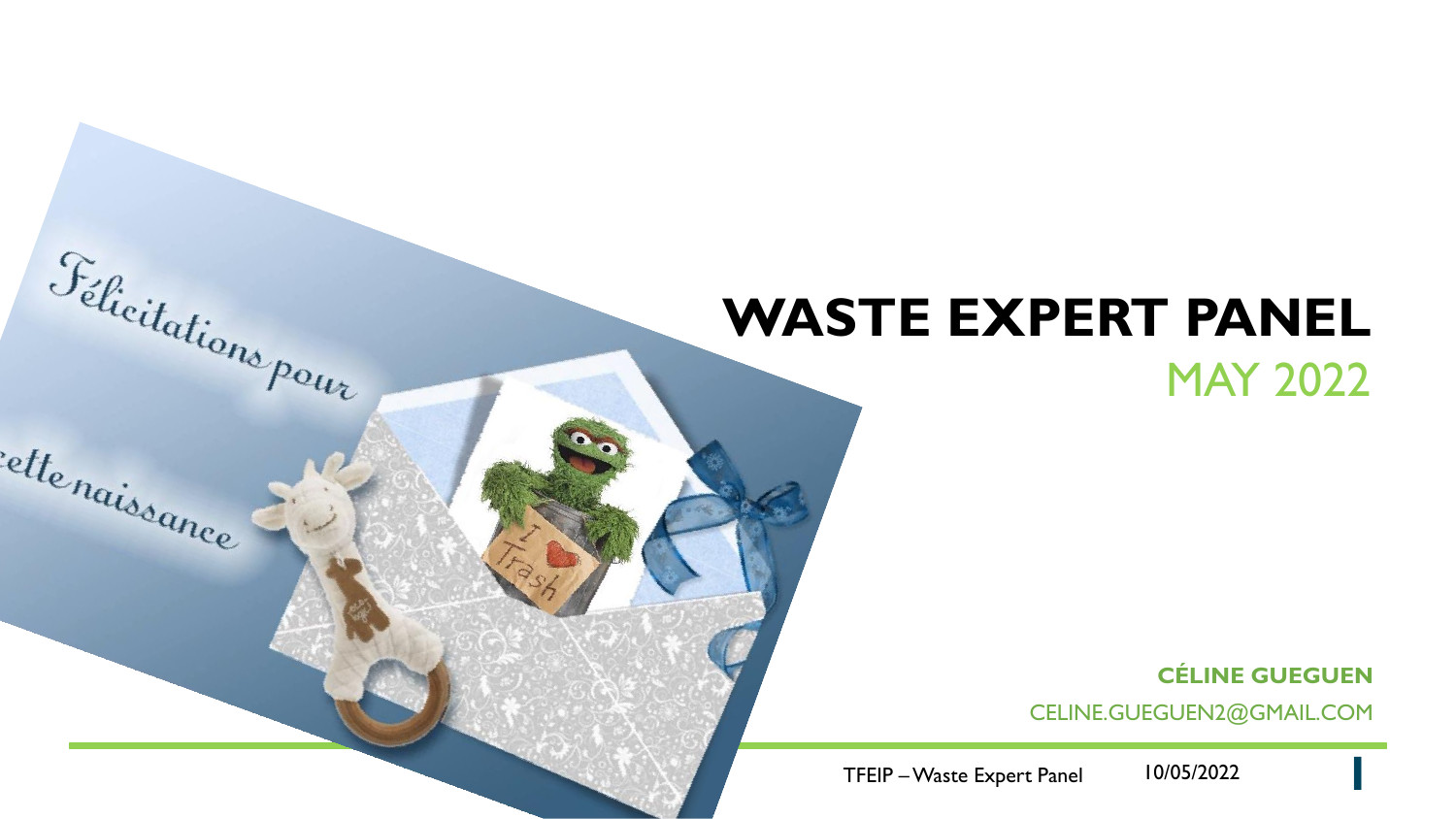# **WASTE EXPERT PANEL**

Felicitations pour

ette<sub>naissance</sub>

### MAY 2022

**CÉLINE GUEGUEN**

**1**

CELINE.GUEGUEN2@GMAIL.COM

TFEIP –Waste Expert Panel 10/05/2022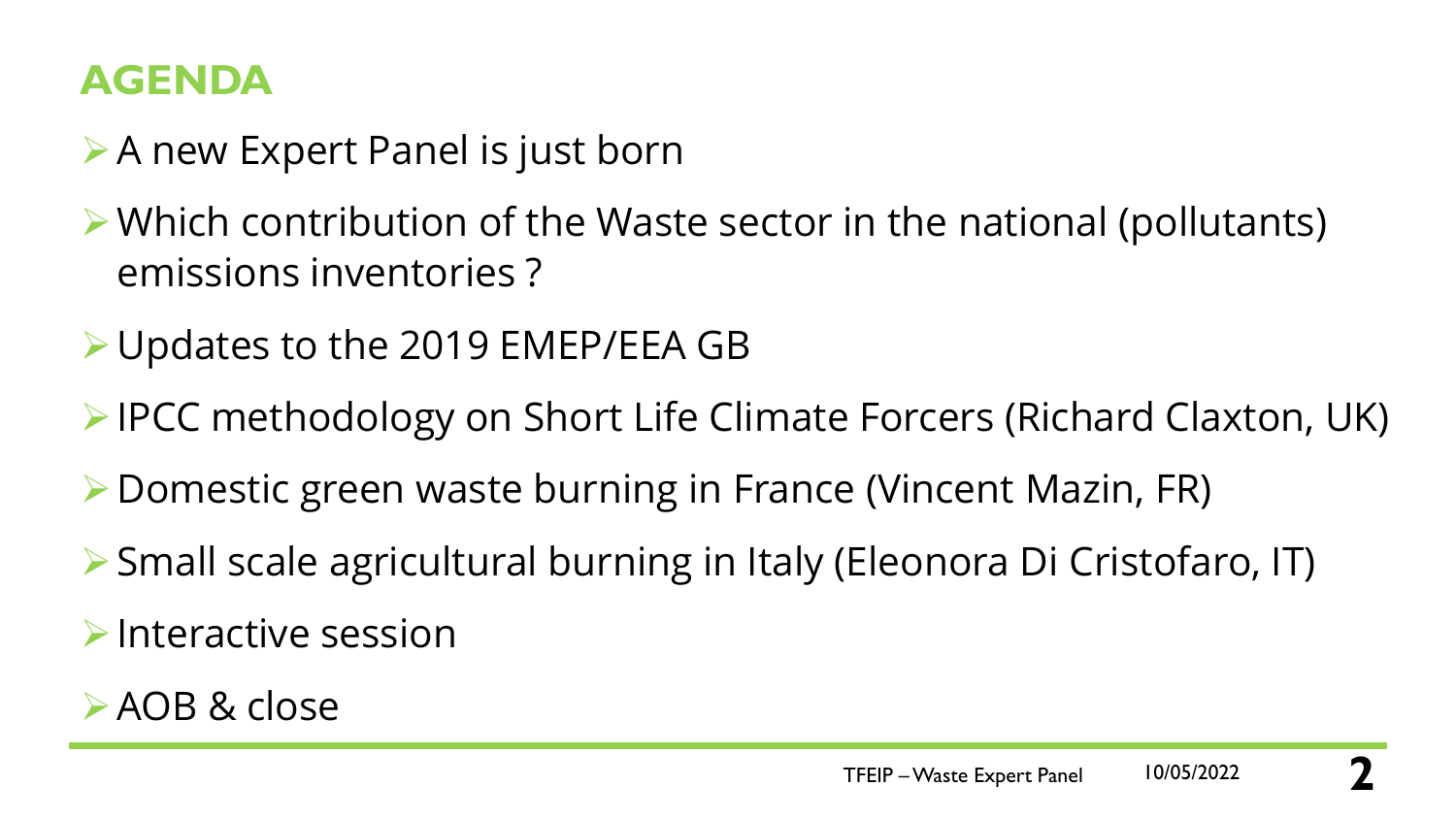### **AGENDA**

- ➢A new Expert Panel is just born
- ➢Which contribution of the Waste sector in the national (pollutants) emissions inventories ?
- ➢Updates to the 2019 EMEP/EEA GB
- ➢IPCC methodology on Short Life Climate Forcers (Richard Claxton, UK)
- ➢Domestic green waste burning in France (Vincent Mazin, FR)
- ➢Small scale agricultural burning in Italy (Eleonora Di Cristofaro, IT)
- $\triangleright$  Interactive session
- ➢AOB & close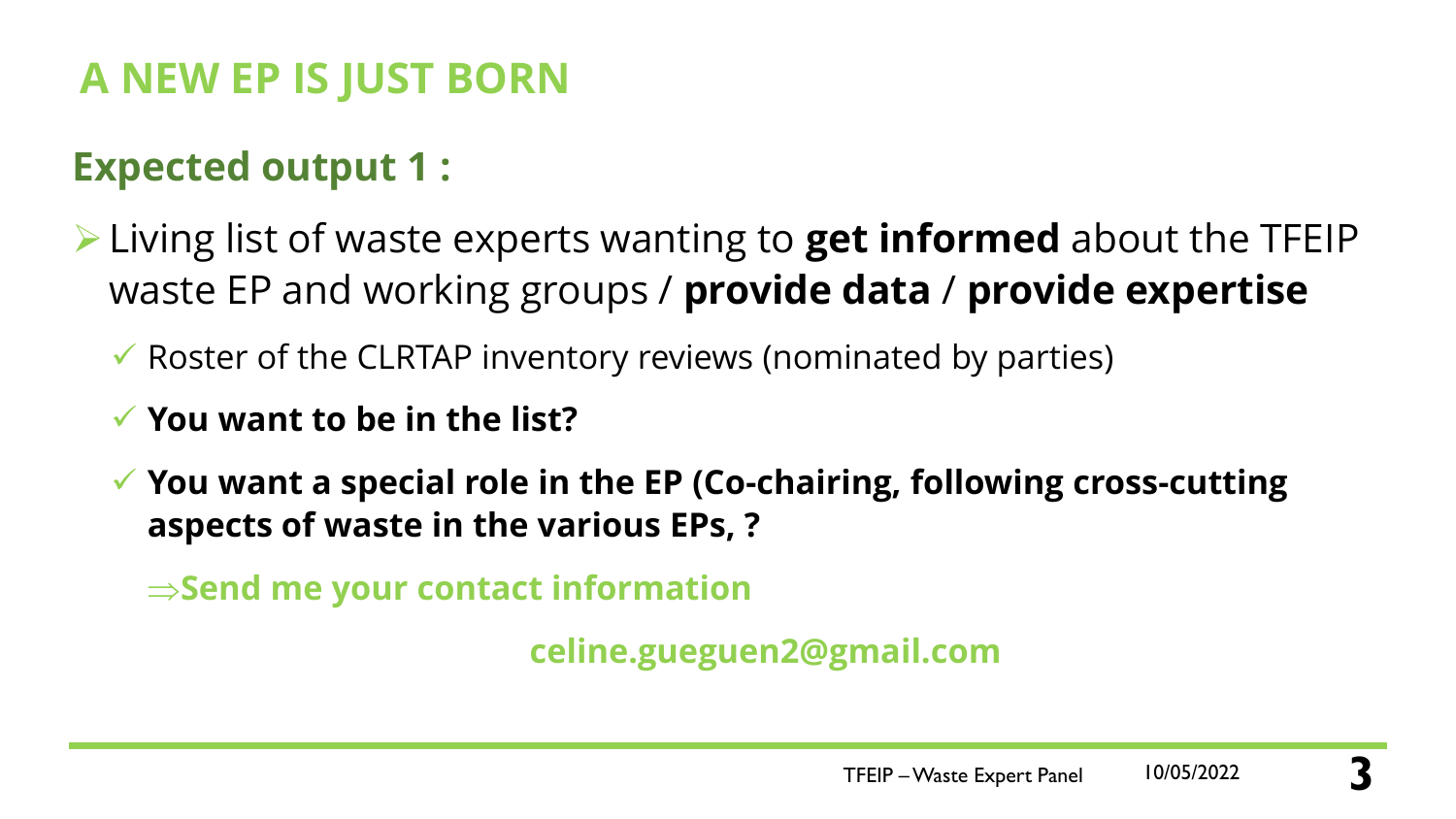### **Expected output 1 :**

- ➢Living list of waste experts wanting to **get informed** about the TFEIP waste EP and working groups / **provide data** / **provide expertise**
	- $\checkmark$  Roster of the CLRTAP inventory reviews (nominated by parties)
	- ✓ **You want to be in the list?**
	- ✓ **You want a special role in the EP (Co-chairing, following cross-cutting aspects of waste in the various EPs, ?**

 $\Rightarrow$  Send me your contact information

**celine.gueguen2@gmail.com**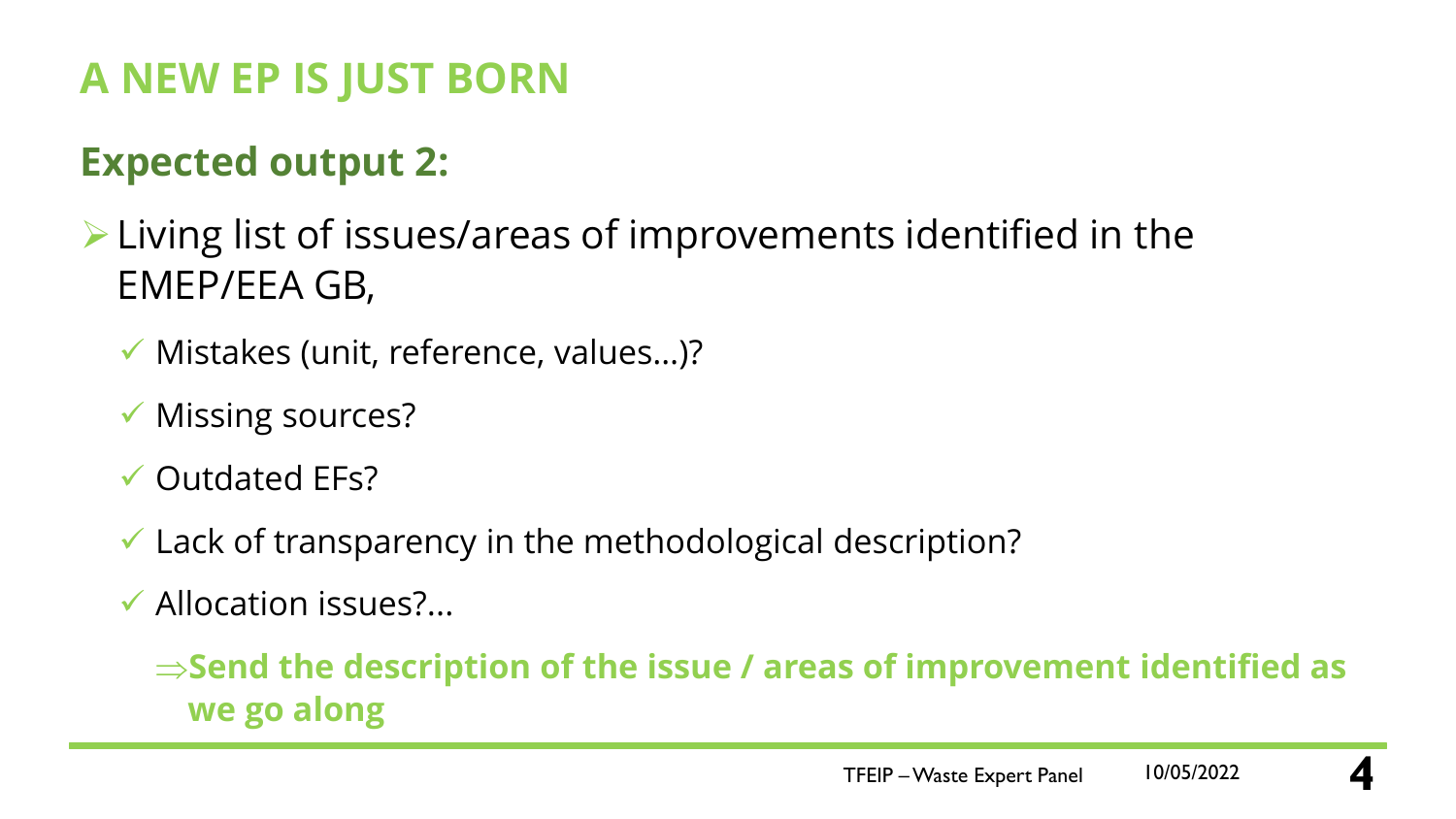## **Expected output 2:**

➢Living list of issues/areas of improvements identified in the EMEP/EEA GB,

- ✓ Mistakes (unit, reference, values…)?
- ✓ Missing sources?
- $\checkmark$  Outdated EFs?
- $\checkmark$  Lack of transparency in the methodological description?
- $\checkmark$  Allocation issues?...

 $\Rightarrow$  **Send the description of the issue / areas of improvement identified as we go along**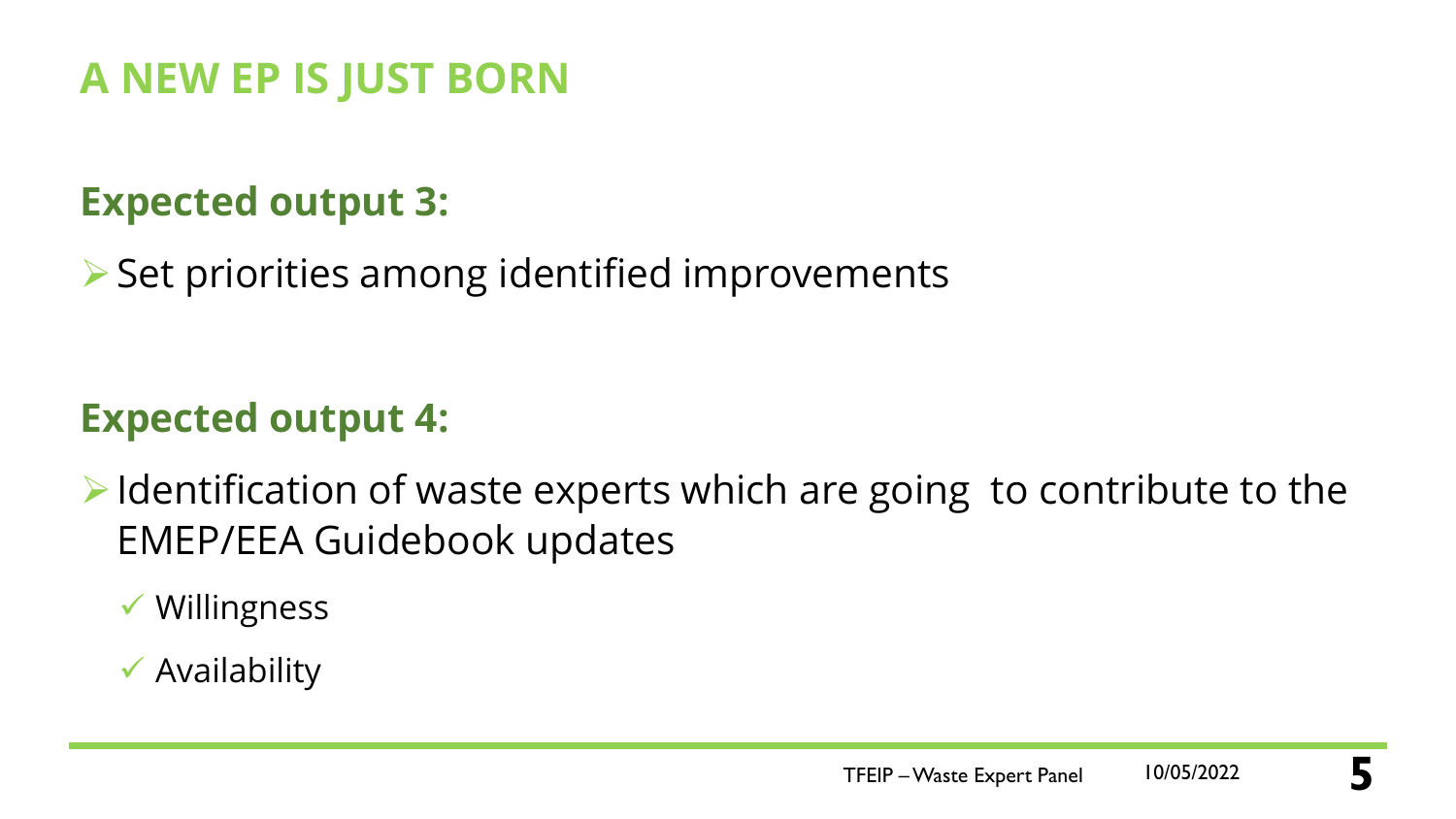### **Expected output 3:**

➢Set priorities among identified improvements

### **Expected output 4:**

 $\triangleright$  Identification of waste experts which are going to contribute to the EMEP/EEA Guidebook updates

✓ Willingness

### $\checkmark$  Availability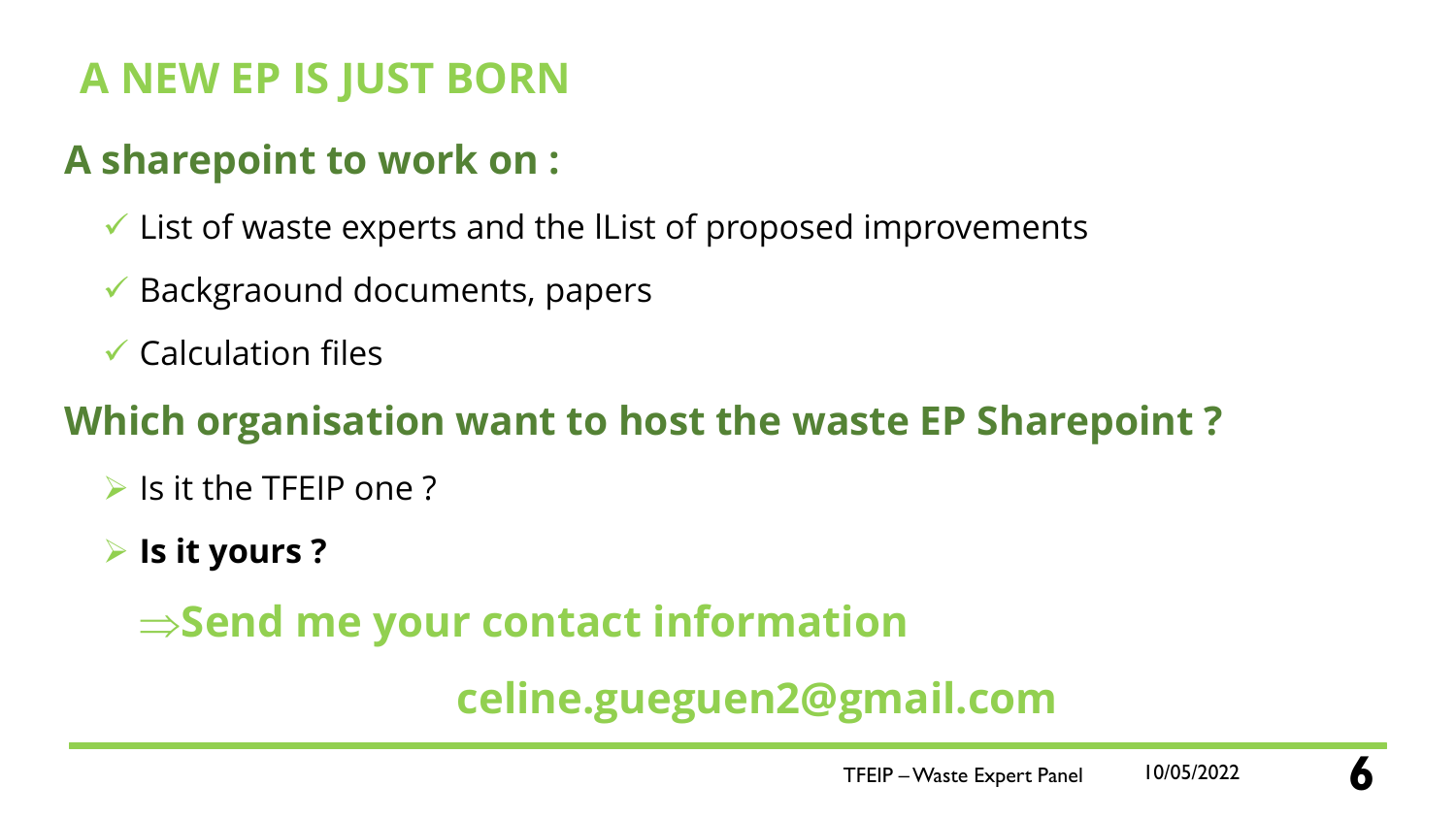### **A sharepoint to work on :**

- $\checkmark$  List of waste experts and the lList of proposed improvements
- $\checkmark$  Backgraound documents, papers
- $\checkmark$  Calculation files

### **Which organisation want to host the waste EP Sharepoint ?**

- $\triangleright$  Is it the TFEIP one ?
- ➢ **Is it yours ?**

# $\Rightarrow$  **Send me your contact information**

# **celine.gueguen2@gmail.com**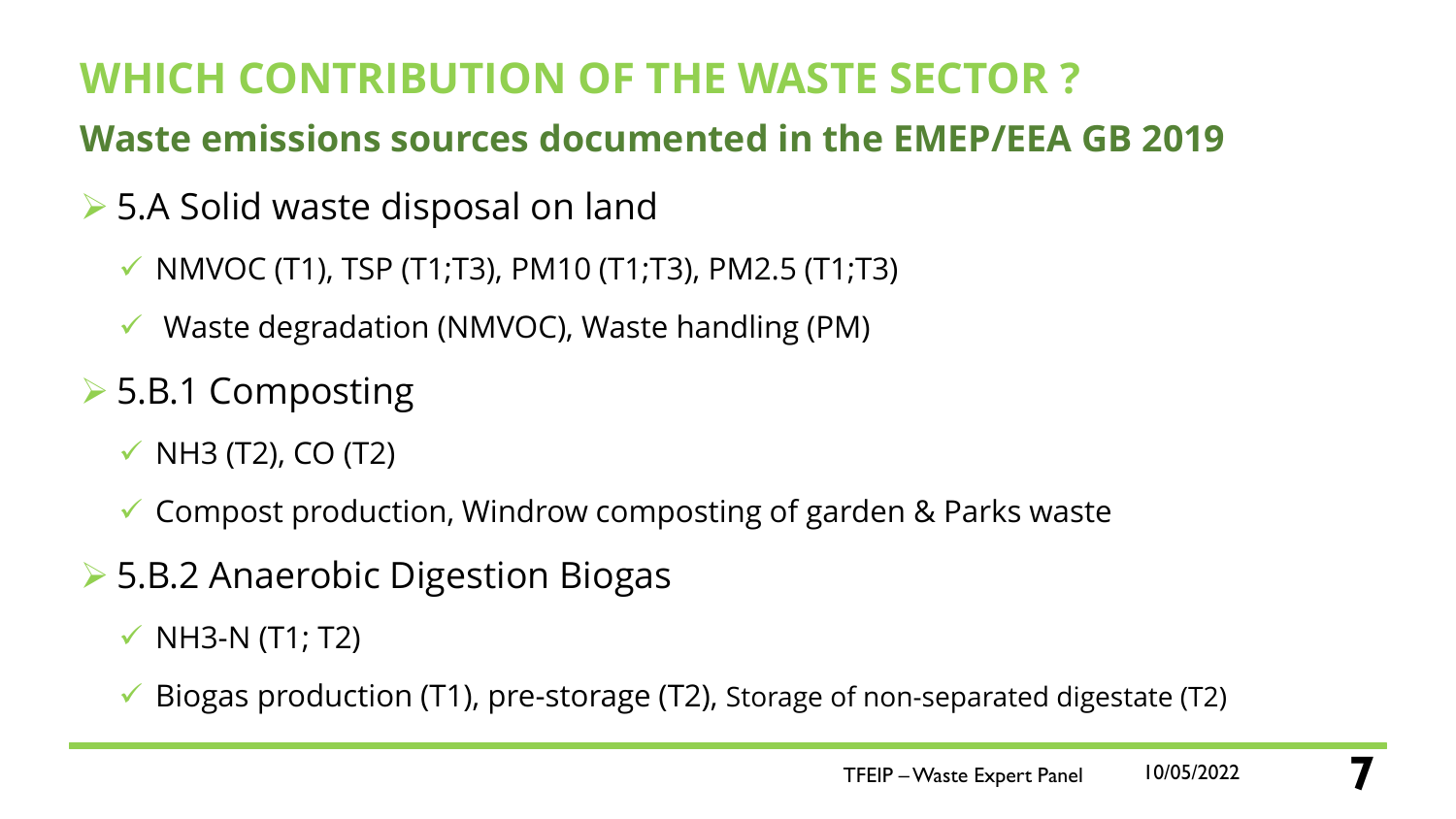# **WHICH CONTRIBUTION OF THE WASTE SECTOR ?**

### **Waste emissions sources documented in the EMEP/EEA GB 2019**

- ➢ 5.A Solid waste disposal on land
	- $\checkmark$  NMVOC (T1), TSP (T1;T3), PM10 (T1;T3), PM2.5 (T1;T3)
	- $\checkmark$  Waste degradation (NMVOC), Waste handling (PM)
- ➢ 5.B.1 Composting
	- $\checkmark$  NH3 (T2), CO (T2)
	- ✓ Compost production, Windrow composting of garden & Parks waste
- ➢ 5.B.2 Anaerobic Digestion Biogas
	- $\checkmark$  NH3-N (T1; T2)
	- $\checkmark$  Biogas production (T1), pre-storage (T2), Storage of non-separated digestate (T2)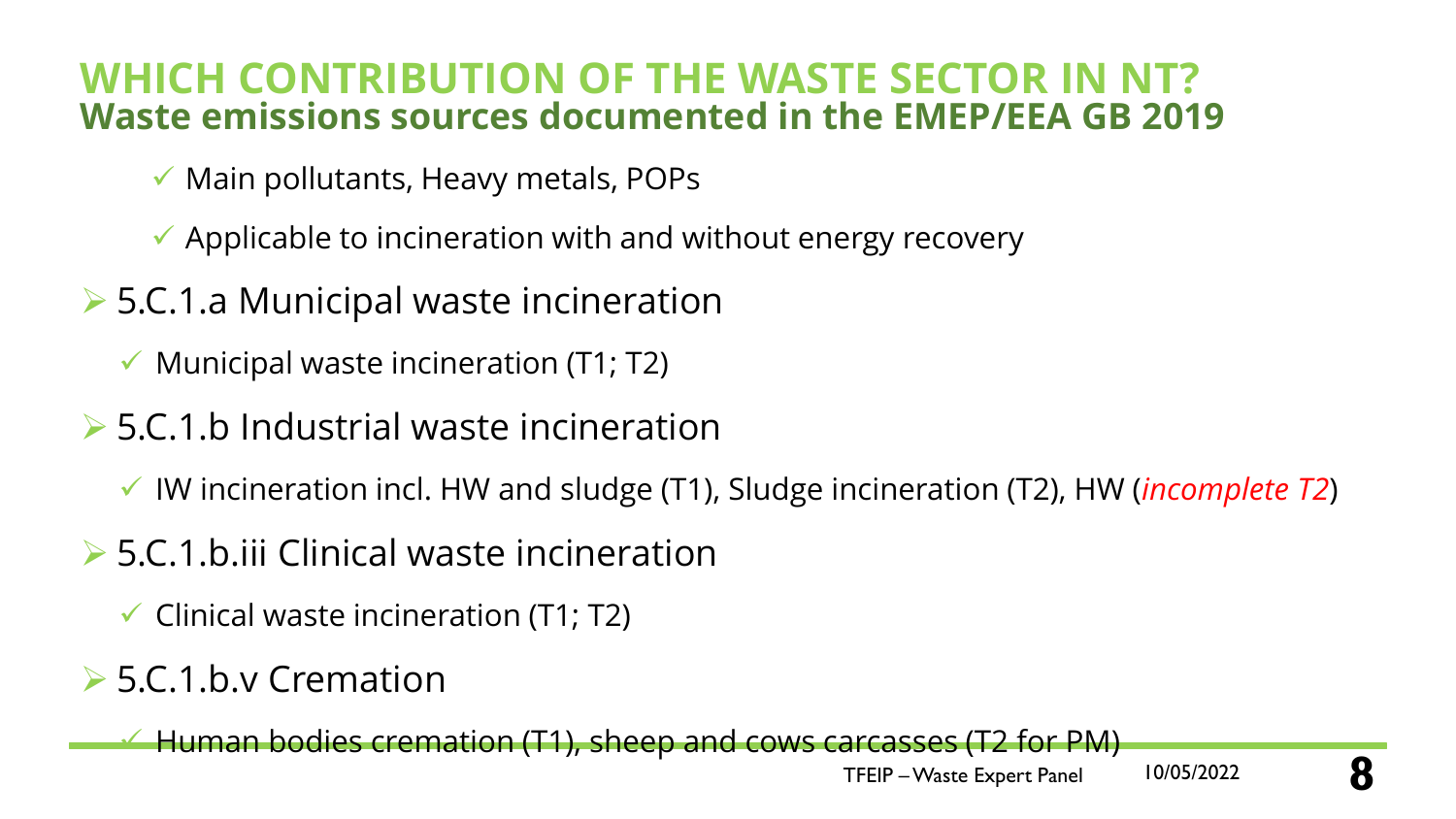### **WHICH CONTRIBUTION OF THE WASTE SECTOR IN NT? Waste emissions sources documented in the EMEP/EEA GB 2019**

- $\checkmark$  Main pollutants, Heavy metals, POPs
- $\checkmark$  Applicable to incineration with and without energy recovery
- ➢ 5.C.1.a Municipal waste incineration
	- $\checkmark$  Municipal waste incineration (T1; T2)
- ➢ 5.C.1.b Industrial waste incineration
	- ✓ IW incineration incl. HW and sludge (T1), Sludge incineration (T2), HW (*incomplete T2*)
- ➢ 5.C.1.b.iii Clinical waste incineration
	- $\checkmark$  Clinical waste incineration (T1; T2)

### ➢ 5.C.1.b.v Cremation

 $\rightarrow$  Human bodies cremation (T1), sheep and cows carcasses (T2 for PM)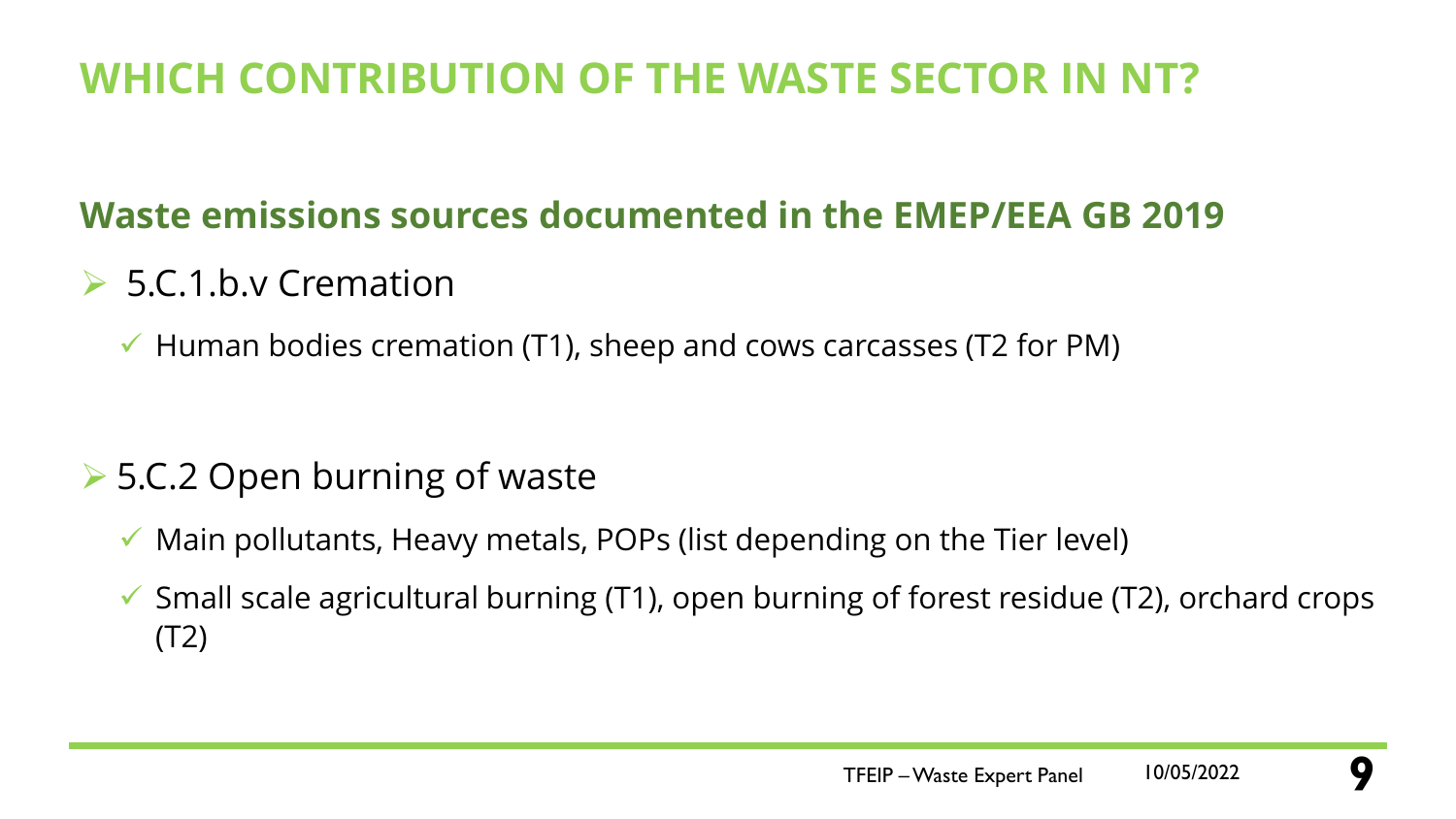# **WHICH CONTRIBUTION OF THE WASTE SECTOR IN NT?**

### **Waste emissions sources documented in the EMEP/EEA GB 2019**

- ➢ 5.C.1.b.v Cremation
	- $\checkmark$  Human bodies cremation (T1), sheep and cows carcasses (T2 for PM)

### ➢ 5.C.2 Open burning of waste

- ✓ Main pollutants, Heavy metals, POPs (list depending on the Tier level)
- $\checkmark$  Small scale agricultural burning (T1), open burning of forest residue (T2), orchard crops (T2)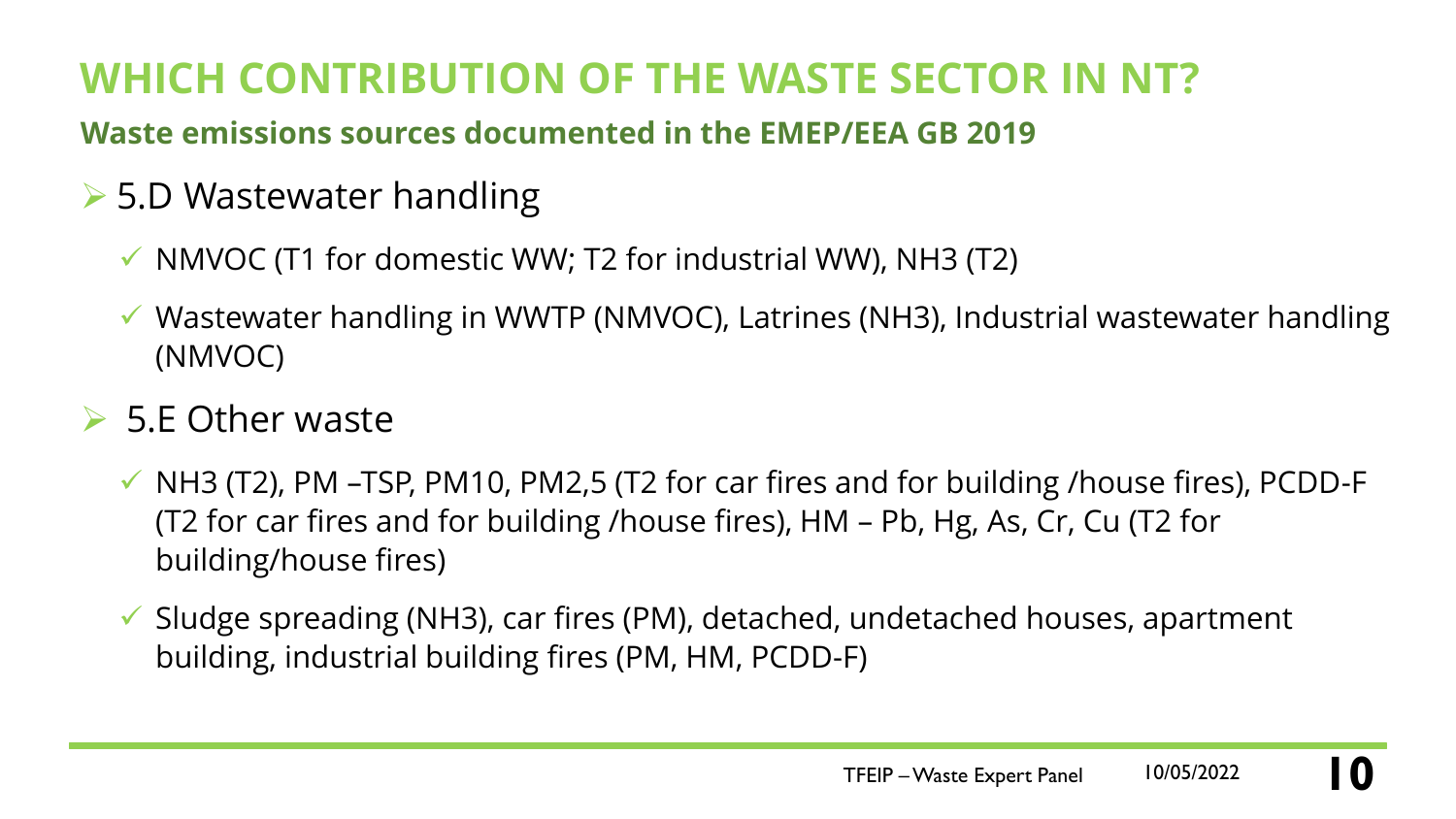# **WHICH CONTRIBUTION OF THE WASTE SECTOR IN NT?**

**Waste emissions sources documented in the EMEP/EEA GB 2019**

### ➢ 5.D Wastewater handling

- $\checkmark$  NMVOC (T1 for domestic WW; T2 for industrial WW), NH3 (T2)
- ✓ Wastewater handling in WWTP (NMVOC), Latrines (NH3), Industrial wastewater handling (NMVOC)

### $>$  5.E Other waste

- ✓ NH3 (T2), PM –TSP, PM10, PM2,5 (T2 for car fires and for building /house fires), PCDD-F (T2 for car fires and for building /house fires), HM – Pb, Hg, As, Cr, Cu (T2 for building/house fires)
- ✓ Sludge spreading (NH3), car fires (PM), detached, undetached houses, apartment building, industrial building fires (PM, HM, PCDD-F)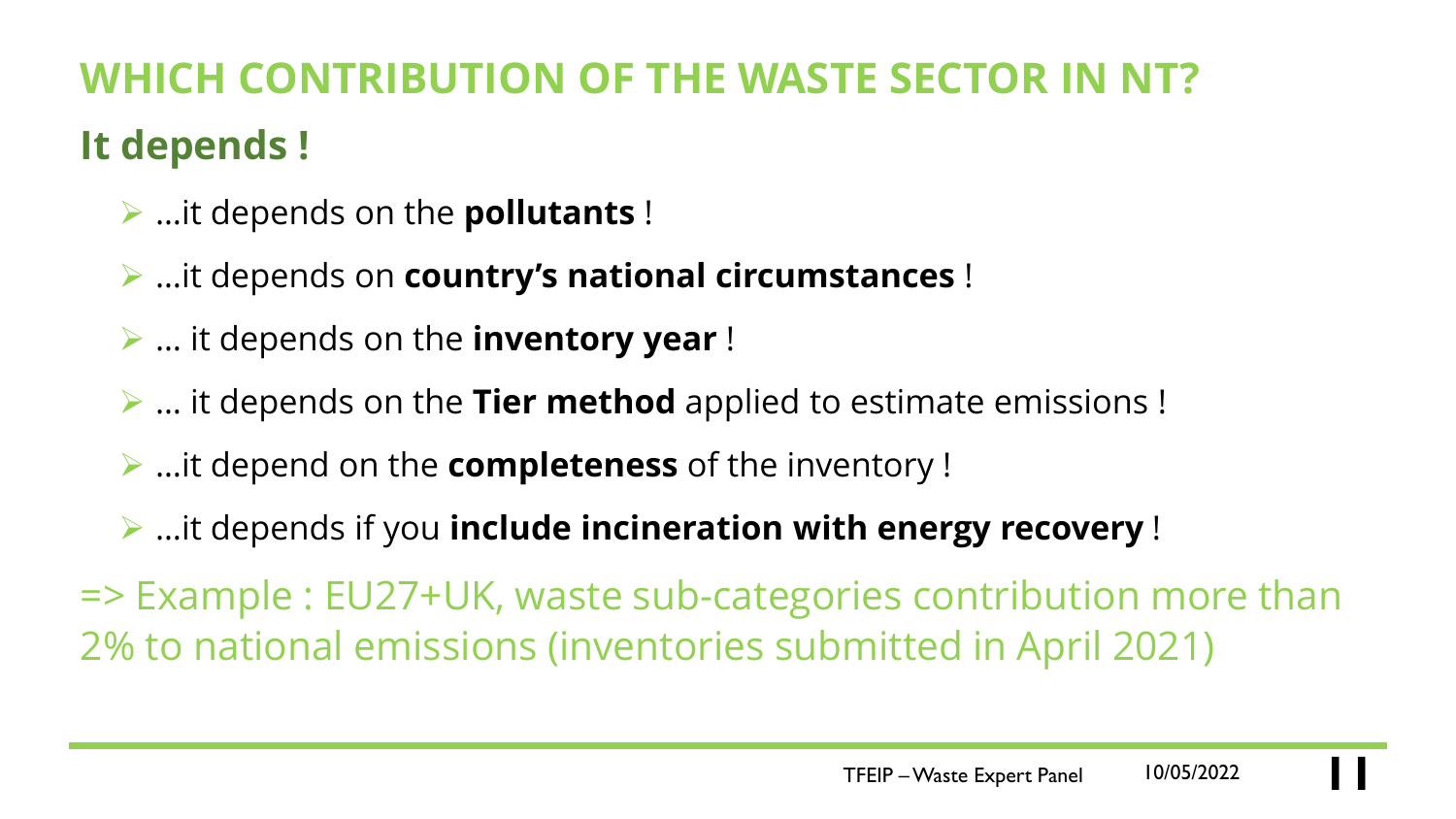# **WHICH CONTRIBUTION OF THE WASTE SECTOR IN It depends !**

- ➢ …it depends on the **pollutants** !
- ➢ …it depends on **country's national circumstances** !
- ➢ … it depends on the **inventory year** !
- ➢ … it depends on the **Tier method** applied to estimate emissions !
- ➢ …it depend on the **completeness** of the inventory !
- ➢ …it depends if you **include incineration with energy recovery** !

=> Example : EU27+UK, waste sub-categories contribution more than 2% to national emissions (inventories submitted in April 2021)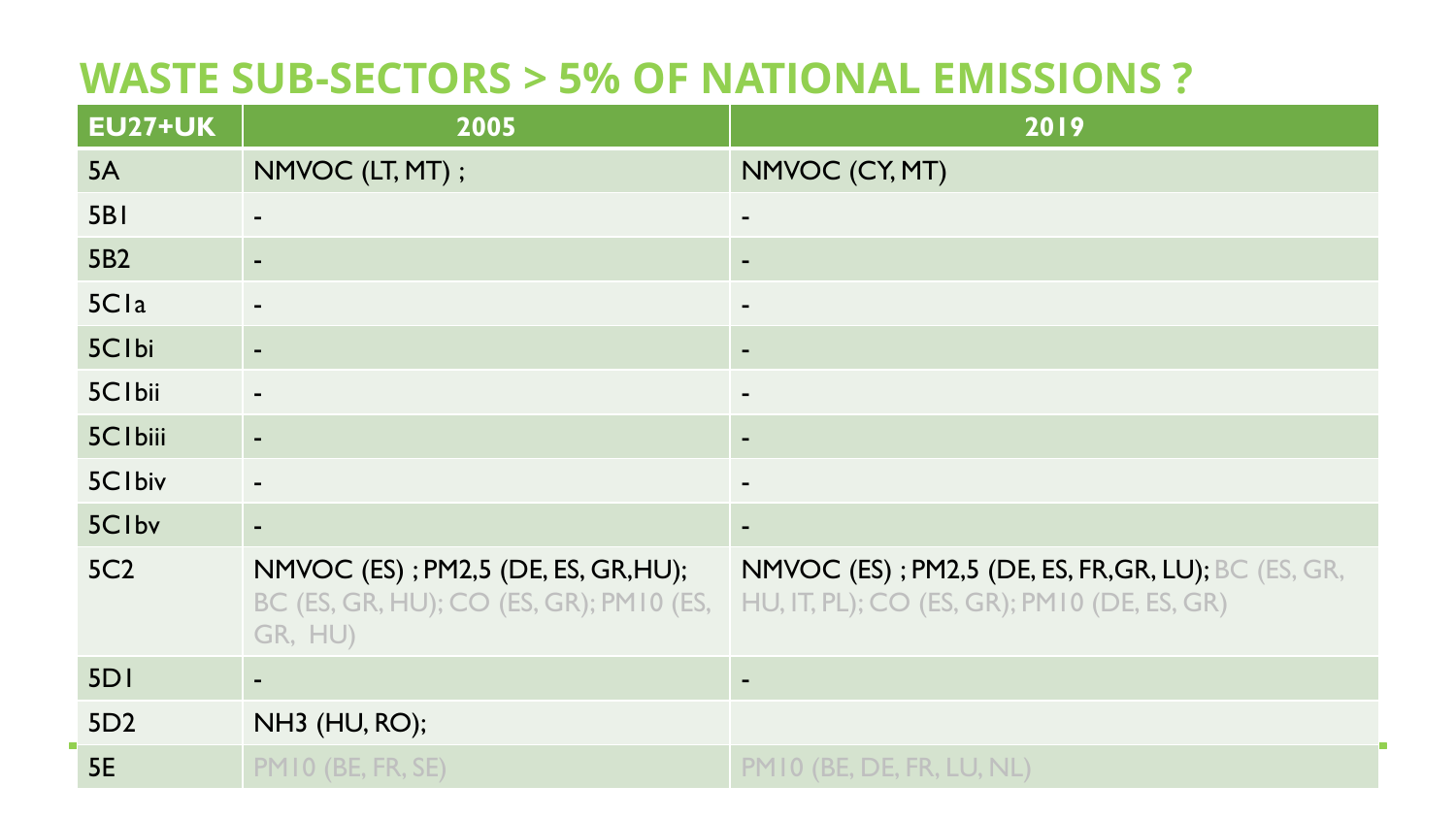### **WASTE SUB-SECTORS > 5% OF NATIONAL EMISSIONS ?**

| <b>EU27+UK</b>  | 2005                                                                                      | 2019                                                                                                      |
|-----------------|-------------------------------------------------------------------------------------------|-----------------------------------------------------------------------------------------------------------|
| 5A              | NMVOC (LT, MT);                                                                           | NMVOC (CY, MT)                                                                                            |
| <b>5B1</b>      | $\blacksquare$                                                                            | $\blacksquare$                                                                                            |
| 5B2             | $\sim$                                                                                    | ٠                                                                                                         |
| 5Cla            |                                                                                           | ٠                                                                                                         |
| 5Clbi           | $\blacksquare$                                                                            | ٠                                                                                                         |
| 5C1bii          |                                                                                           | ٠                                                                                                         |
| 5C1biii         | $\blacksquare$                                                                            | ٠                                                                                                         |
| 5C1biv          |                                                                                           | $\blacksquare$                                                                                            |
| 5Clbv           |                                                                                           |                                                                                                           |
| <b>5C2</b>      | NMVOC (ES); PM2,5 (DE, ES, GR, HU);<br>BC (ES, GR, HU); CO (ES, GR); PM10 (ES,<br>GR, HU) | <b>NMVOC (ES); PM2,5 (DE, ES, FR, GR, LU); BC (ES, GR,</b><br>HU, IT, PL); CO (ES, GR); PM10 (DE, ES, GR) |
| 5DI             |                                                                                           | $\blacksquare$                                                                                            |
| 5D <sub>2</sub> | NH3 (HU, RO);                                                                             |                                                                                                           |
| <b>5E</b>       | PMIO (BE, FR, SE)                                                                         | PM 10 (BE, DE, FR, LU, NL)                                                                                |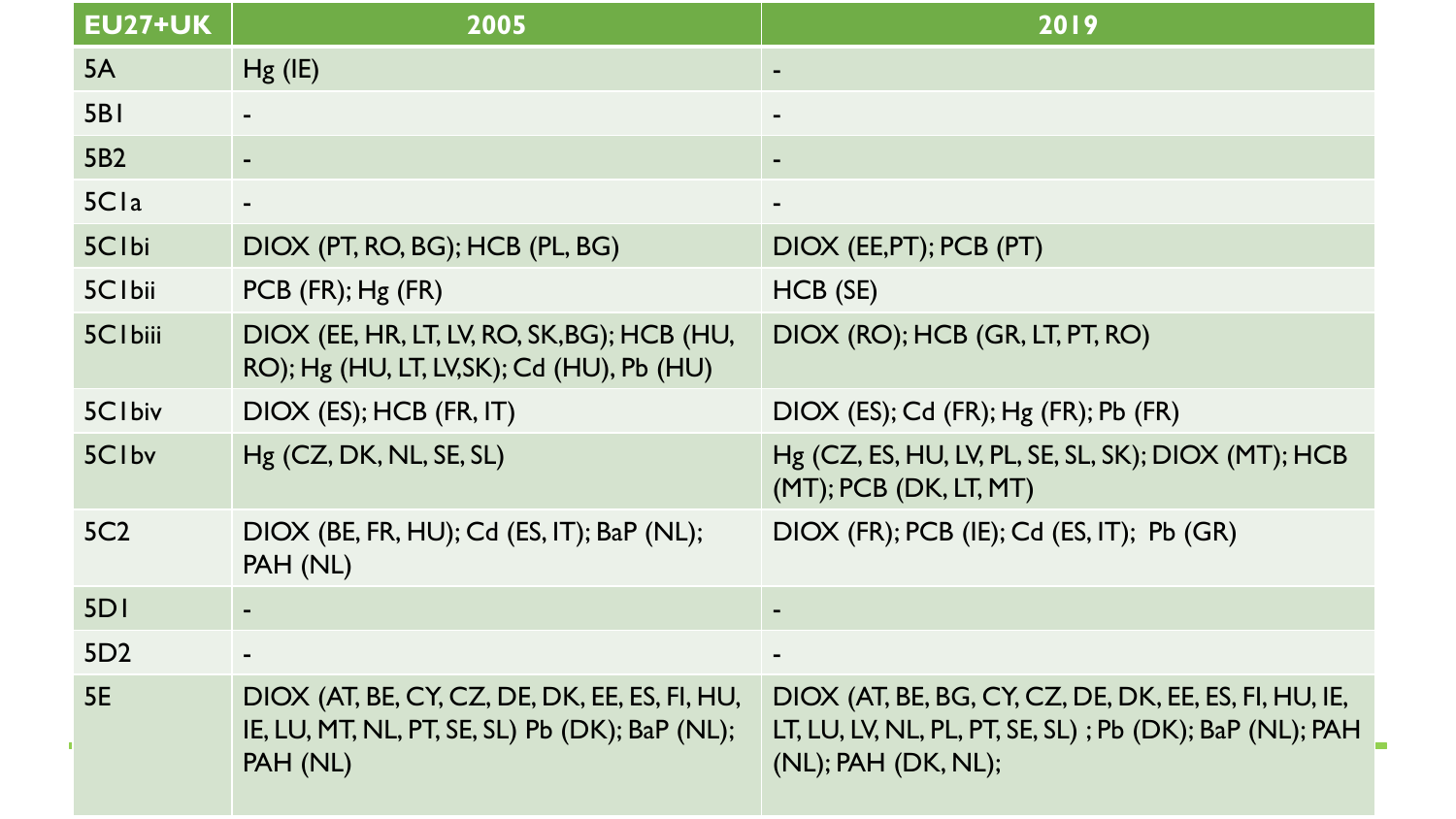| <b>EU27+UK</b>    | 2005                                                                                                        | 2019                                                                                                                                    |
|-------------------|-------------------------------------------------------------------------------------------------------------|-----------------------------------------------------------------------------------------------------------------------------------------|
| 5A                | $Hg$ (IE)                                                                                                   |                                                                                                                                         |
| <b>5B1</b>        |                                                                                                             |                                                                                                                                         |
| 5B2               |                                                                                                             |                                                                                                                                         |
| 5Cla              |                                                                                                             |                                                                                                                                         |
| 5Clbi             | DIOX (PT, RO, BG); HCB (PL, BG)                                                                             | DIOX (EE, PT); PCB (PT)                                                                                                                 |
| 5C1bii            | PCB (FR); Hg (FR)                                                                                           | HCB (SE)                                                                                                                                |
| <b>5Clbiii</b>    | DIOX (EE, HR, LT, LV, RO, SK, BG); HCB (HU,<br>RO); Hg (HU, LT, LV, SK); Cd (HU), Pb (HU)                   | DIOX (RO); HCB (GR, LT, PT, RO)                                                                                                         |
| 5C1biv            | DIOX (ES); HCB (FR, IT)                                                                                     | DIOX (ES); Cd (FR); Hg (FR); Pb (FR)                                                                                                    |
| 5C <sub>Ibv</sub> | Hg (CZ, DK, NL, SE, SL)                                                                                     | Hg (CZ, ES, HU, LV, PL, SE, SL, SK); DIOX (MT); HCB<br>$(MT);$ PCB $(DK, LT, MT)$                                                       |
| 5C <sub>2</sub>   | DIOX (BE, FR, HU); Cd (ES, IT); BaP (NL);<br>PAH (NL)                                                       | DIOX (FR); PCB (IE); Cd (ES, IT); Pb (GR)                                                                                               |
| 5DI               |                                                                                                             |                                                                                                                                         |
| 5D2               |                                                                                                             |                                                                                                                                         |
| <b>5E</b>         | DIOX (AT, BE, CY, CZ, DE, DK, EE, ES, FI, HU,<br>IE, LU, MT, NL, PT, SE, SL) Pb (DK); BaP (NL);<br>PAH (NL) | DIOX (AT, BE, BG, CY, CZ, DE, DK, EE, ES, FI, HU, IE,<br>LT, LU, LV, NL, PL, PT, SE, SL); Pb (DK); BaP (NL); PAH<br>(NL); PAH (DK, NL); |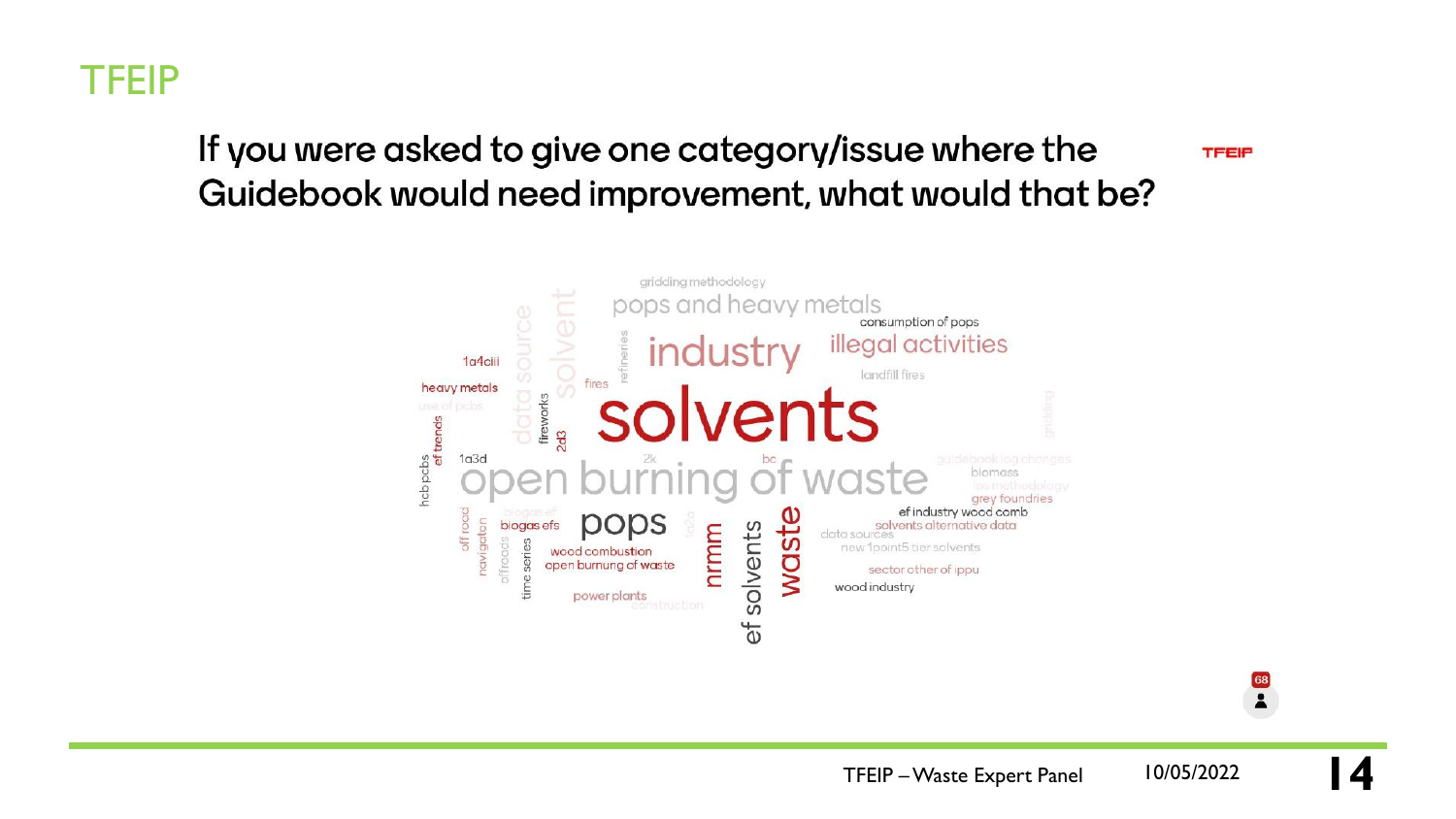

#### If you were asked to give one category/issue where the Guidebook would need improvement, what would that be?

**TFEIP** 

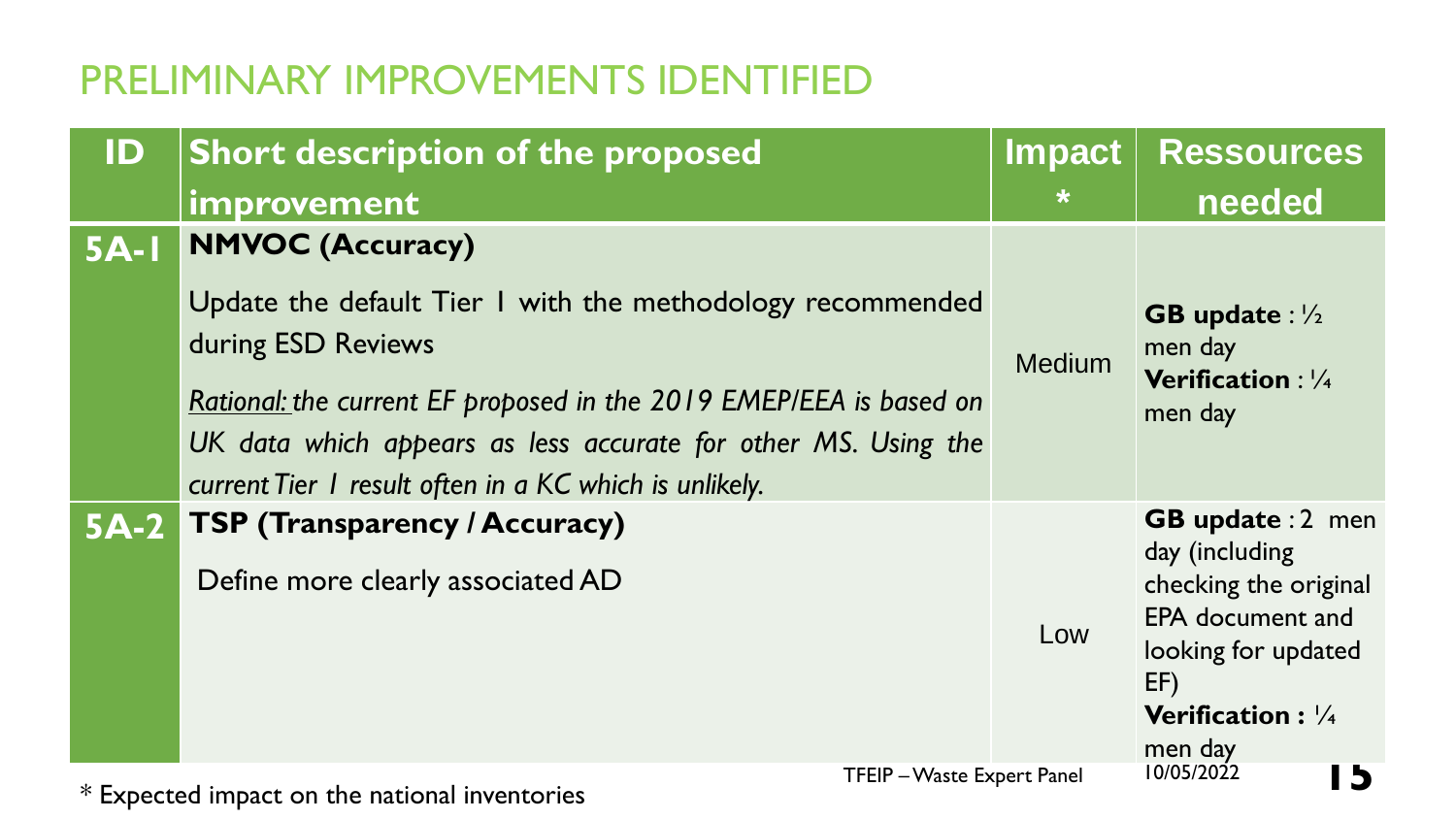| ID     | <b>Short description of the proposed</b>                                                                                                                                                                                                                                                                      | <b>Impact</b> | Ressources                                                                                                                                                                    |
|--------|---------------------------------------------------------------------------------------------------------------------------------------------------------------------------------------------------------------------------------------------------------------------------------------------------------------|---------------|-------------------------------------------------------------------------------------------------------------------------------------------------------------------------------|
|        | improvement                                                                                                                                                                                                                                                                                                   | $\ast$        | needed                                                                                                                                                                        |
| $5A-I$ | <b>NMVOC (Accuracy)</b><br>Update the default Tier I with the methodology recommended<br>during ESD Reviews<br>Rational: the current EF proposed in the 2019 EMEP/EEA is based on<br>UK data which appears as less accurate for other MS. Using the<br>current Tier I result often in a KC which is unlikely. | <b>Medium</b> | <b>GB</b> update : $\frac{1}{2}$<br>men day<br><b>Verification: 1/4</b><br>men day                                                                                            |
| $5A-2$ | <b>TSP (Transparency / Accuracy)</b><br>Define more clearly associated AD                                                                                                                                                                                                                                     | Low           | <b>GB update : 2 men</b><br>day (including<br>checking the original<br><b>EPA</b> document and<br>looking for updated<br>EF)<br><b>Verification:</b> $\frac{1}{4}$<br>men day |
|        | TFEIP - Waste Expert Panel<br>$*$ Expected impact on the national inventories                                                                                                                                                                                                                                 |               | 10/05/2022<br><b>D</b>                                                                                                                                                        |

\* Expected impact on the national inventories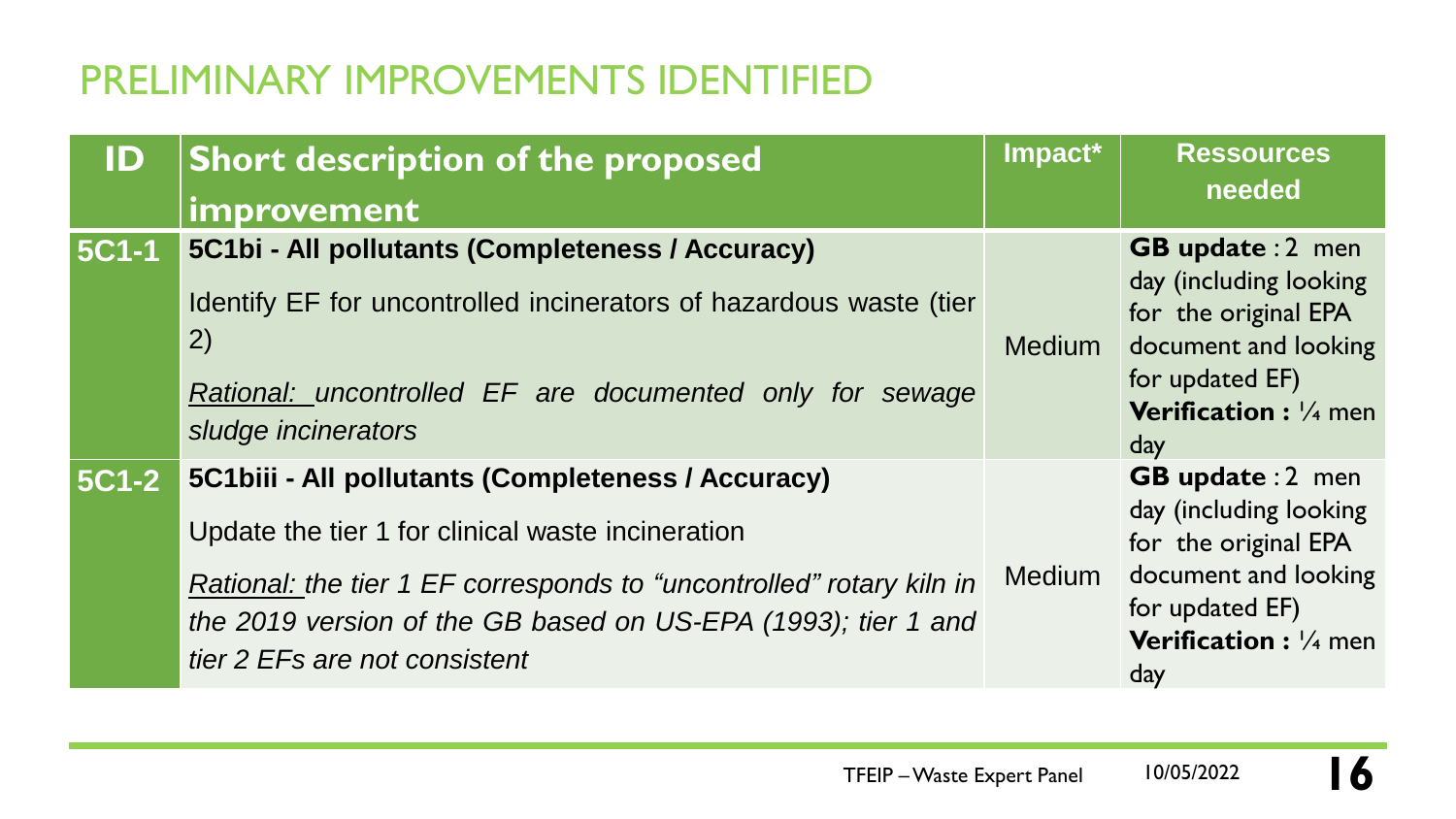| ID           | <b>Short description of the proposed</b>                                                                                                                                                                                                                                          | Impact*       | <b>Ressources</b>                                                                                                                                                        |
|--------------|-----------------------------------------------------------------------------------------------------------------------------------------------------------------------------------------------------------------------------------------------------------------------------------|---------------|--------------------------------------------------------------------------------------------------------------------------------------------------------------------------|
|              | improvement                                                                                                                                                                                                                                                                       |               | needed                                                                                                                                                                   |
| <b>5C1-1</b> | 5C1bi - All pollutants (Completeness / Accuracy)<br>Identify EF for uncontrolled incinerators of hazardous waste (tier<br>2)<br>Rational: uncontrolled EF are documented only for sewage<br>sludge incinerators                                                                   | <b>Medium</b> | <b>GB update : 2 men</b><br>day (including looking<br>for the original EPA<br>document and looking<br>for updated EF)<br><b>Verification:</b> 1/4 men<br>day             |
| <b>5C1-2</b> | 5C1biii - All pollutants (Completeness / Accuracy)<br>Update the tier 1 for clinical waste incineration<br>Rational: the tier 1 EF corresponds to "uncontrolled" rotary kiln in<br>the 2019 version of the GB based on US-EPA (1993); tier 1 and<br>tier 2 EFs are not consistent | <b>Medium</b> | <b>GB update : 2 men</b><br>day (including looking<br>for the original EPA<br>document and looking<br>for updated EF)<br><b>Verification:</b> // <sub>4</sub> men<br>day |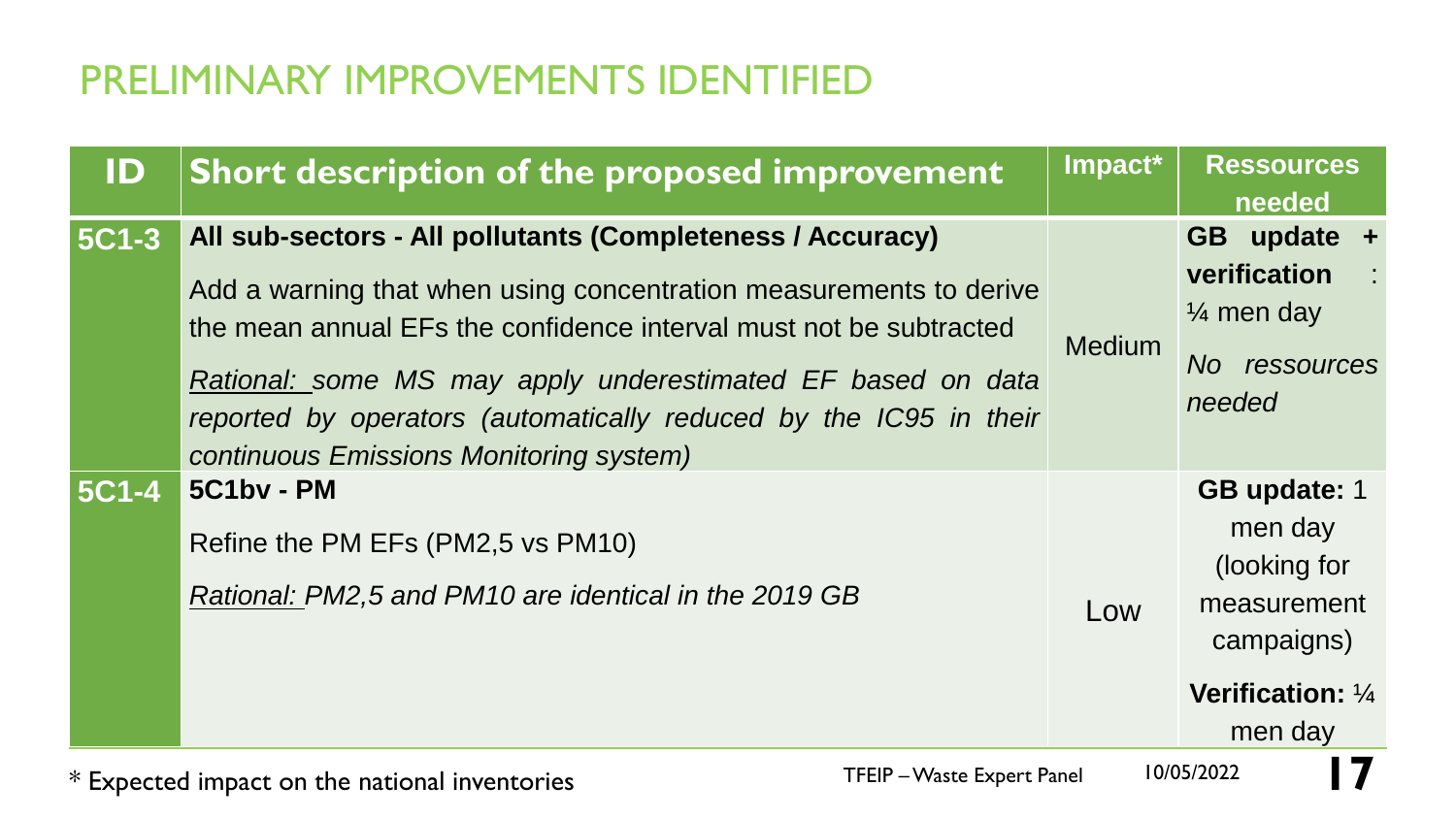| ID           | Short description of the proposed improvement                                                                                                                                                                                                                                                                                                                                         | Impact*       | <b>Ressources</b><br>needed                                                                                        |
|--------------|---------------------------------------------------------------------------------------------------------------------------------------------------------------------------------------------------------------------------------------------------------------------------------------------------------------------------------------------------------------------------------------|---------------|--------------------------------------------------------------------------------------------------------------------|
| <b>5C1-3</b> | All sub-sectors - All pollutants (Completeness / Accuracy)<br>Add a warning that when using concentration measurements to derive<br>the mean annual EFs the confidence interval must not be subtracted<br>Rational: some MS may apply underestimated EF based on data<br>reported by operators (automatically reduced by the IC95 in their<br>continuous Emissions Monitoring system) | <b>Medium</b> | GB update +<br>verification<br>$\mathbb{R}^2$<br>$\frac{1}{4}$ men day<br>No ressources<br>needed                  |
| <b>5C1-4</b> | 5C1by - PM<br>Refine the PM EFs (PM2,5 vs PM10)<br>Rational: PM2,5 and PM10 are identical in the 2019 GB                                                                                                                                                                                                                                                                              | Low           | <b>GB update: 1</b><br>men day<br>(looking for<br>measurement<br>campaigns)<br><b>Verification: 1/4</b><br>men day |

\* Expected impact on the national inventories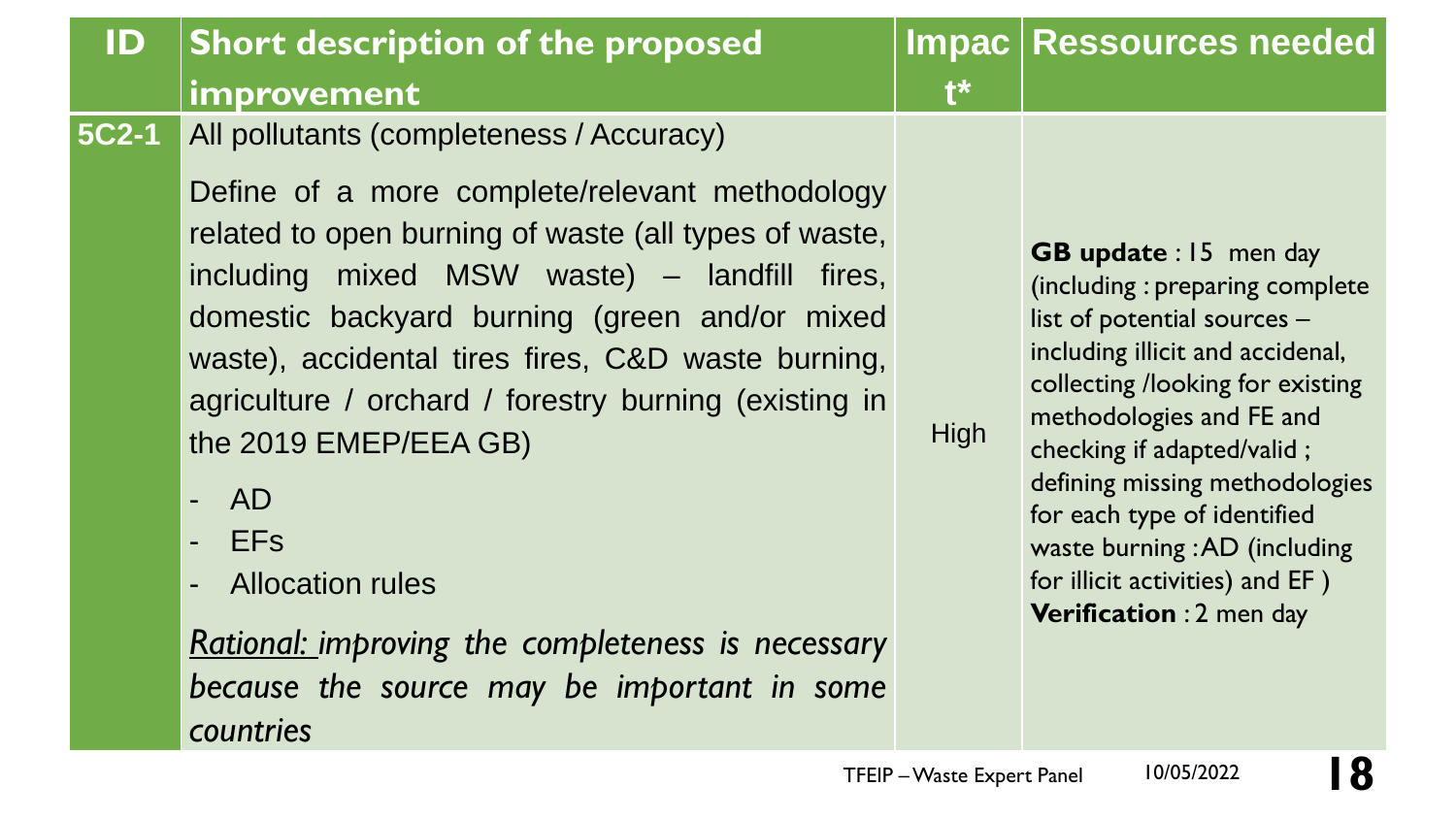| ID           | <b>Short description of the proposed</b><br>improvement                                                                                                                                                                                                                                                                                                                                                                                                                                                                                    | $\mathbf{f}^*$ | Impac   Ressources needed                                                                                                                                                                                                                                                                                                                                                                              |
|--------------|--------------------------------------------------------------------------------------------------------------------------------------------------------------------------------------------------------------------------------------------------------------------------------------------------------------------------------------------------------------------------------------------------------------------------------------------------------------------------------------------------------------------------------------------|----------------|--------------------------------------------------------------------------------------------------------------------------------------------------------------------------------------------------------------------------------------------------------------------------------------------------------------------------------------------------------------------------------------------------------|
| <b>5C2-1</b> | All pollutants (completeness / Accuracy)<br>Define of a more complete/relevant methodology<br>related to open burning of waste (all types of waste,<br>including mixed MSW waste) – landfill fires,<br>domestic backyard burning (green and/or mixed<br>waste), accidental tires fires, C&D waste burning,<br>agriculture / orchard / forestry burning (existing in<br>the 2019 EMEP/EEA GB)<br>AD<br>$\blacksquare$<br><b>EFs</b><br>$\frac{1}{2}$<br><b>Allocation rules</b><br><b>Rational: improving the completeness is necessary</b> | High           | <b>GB update: 15 men day</b><br>(including: preparing complete<br>list of potential sources -<br>including illicit and accidenal,<br>collecting /looking for existing<br>methodologies and FE and<br>checking if adapted/valid;<br>defining missing methodologies<br>for each type of identified<br>waste burning : AD (including<br>for illicit activities) and EF)<br><b>Verification: 2 men day</b> |

*because the source may be important in some*

*countries*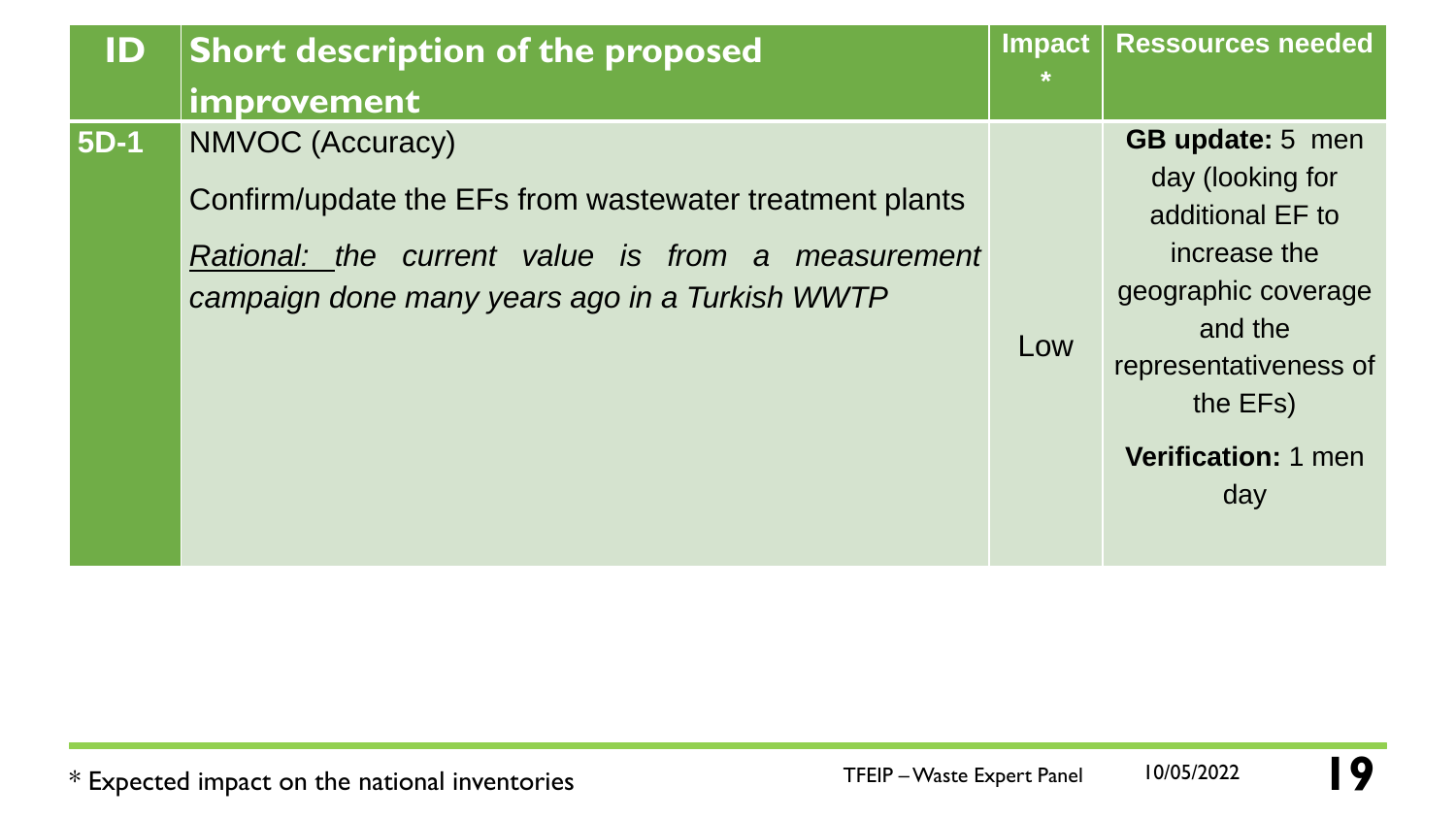| ID          | <b>Short description of the proposed</b>                                                                                                                                                  | Impact<br>$\ast$ | <b>Ressources needed</b>                                                                                                                                                                    |
|-------------|-------------------------------------------------------------------------------------------------------------------------------------------------------------------------------------------|------------------|---------------------------------------------------------------------------------------------------------------------------------------------------------------------------------------------|
|             | improvement                                                                                                                                                                               |                  |                                                                                                                                                                                             |
| <b>5D-1</b> | <b>NMVOC (Accuracy)</b><br>Confirm/update the EFs from wastewater treatment plants<br>Rational: the current value is from a measurement<br>campaign done many years ago in a Turkish WWTP | Low              | <b>GB update:</b> 5 men<br>day (looking for<br>additional EF to<br>increase the<br>geographic coverage<br>and the<br>representativeness of<br>the EFs)<br><b>Verification: 1 men</b><br>day |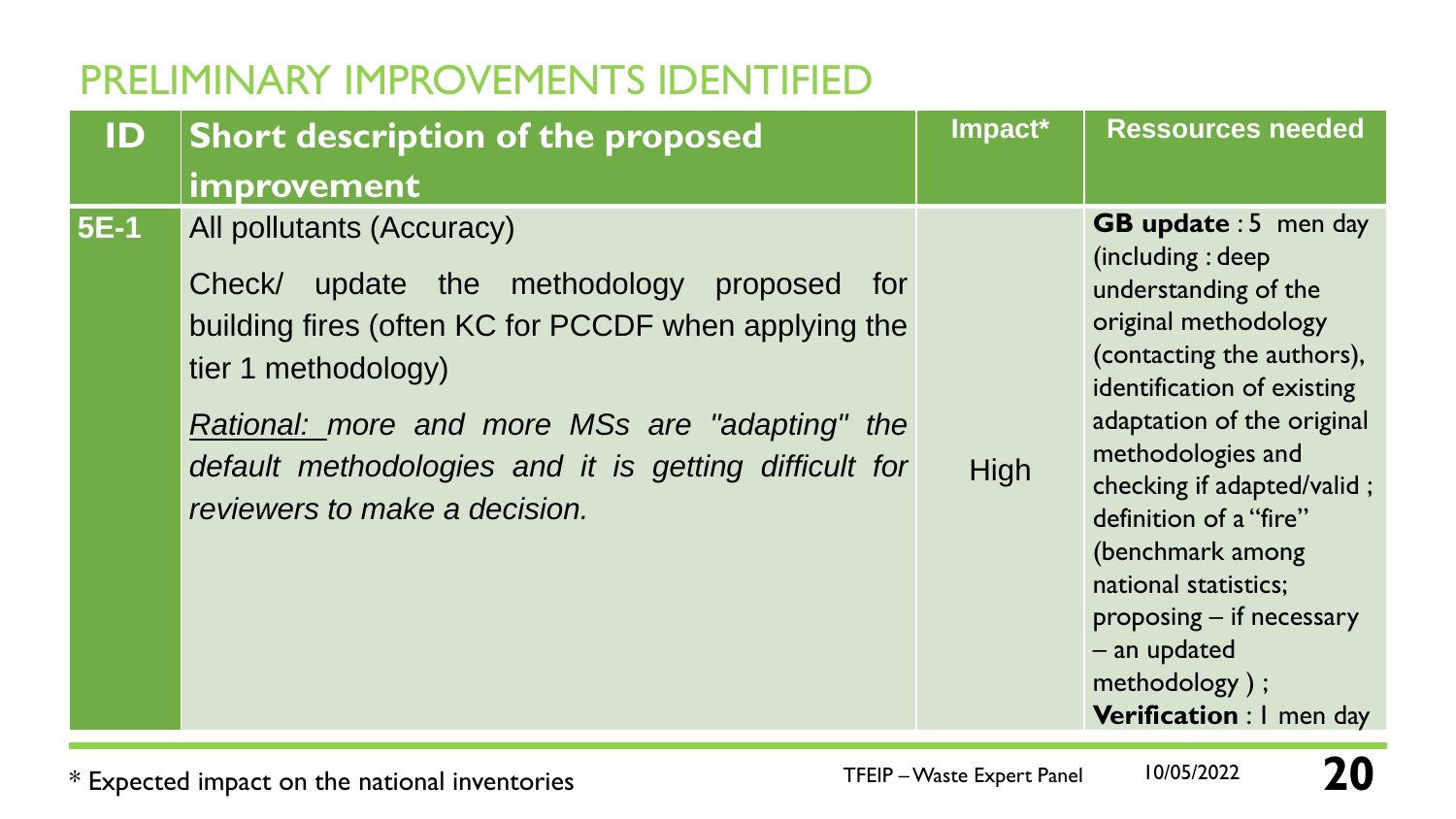| ID          | Short description of the proposed                                                                                                                                                                                                                                                                     | Impact* | <b>Ressources needed</b>                                                                                                                                                                                                                                                                                                                                                                                        |
|-------------|-------------------------------------------------------------------------------------------------------------------------------------------------------------------------------------------------------------------------------------------------------------------------------------------------------|---------|-----------------------------------------------------------------------------------------------------------------------------------------------------------------------------------------------------------------------------------------------------------------------------------------------------------------------------------------------------------------------------------------------------------------|
|             | improvement                                                                                                                                                                                                                                                                                           |         |                                                                                                                                                                                                                                                                                                                                                                                                                 |
| <b>5E-1</b> | All pollutants (Accuracy)<br>update the methodology proposed for<br>Check/<br>building fires (often KC for PCCDF when applying the<br>tier 1 methodology)<br>Rational: more and more MSs are "adapting" the<br>default methodologies and it is getting difficult for<br>reviewers to make a decision. | High    | <b>GB update: 5 men day</b><br>(including: deep)<br>understanding of the<br>original methodology<br>(contacting the authors),<br>identification of existing<br>adaptation of the original<br>methodologies and<br>checking if adapted/valid;<br>definition of a "fire"<br>(benchmark among<br>national statistics;<br>proposing $-$ if necessary<br>$-$ an updated<br>methodology);<br>Verification : I men day |

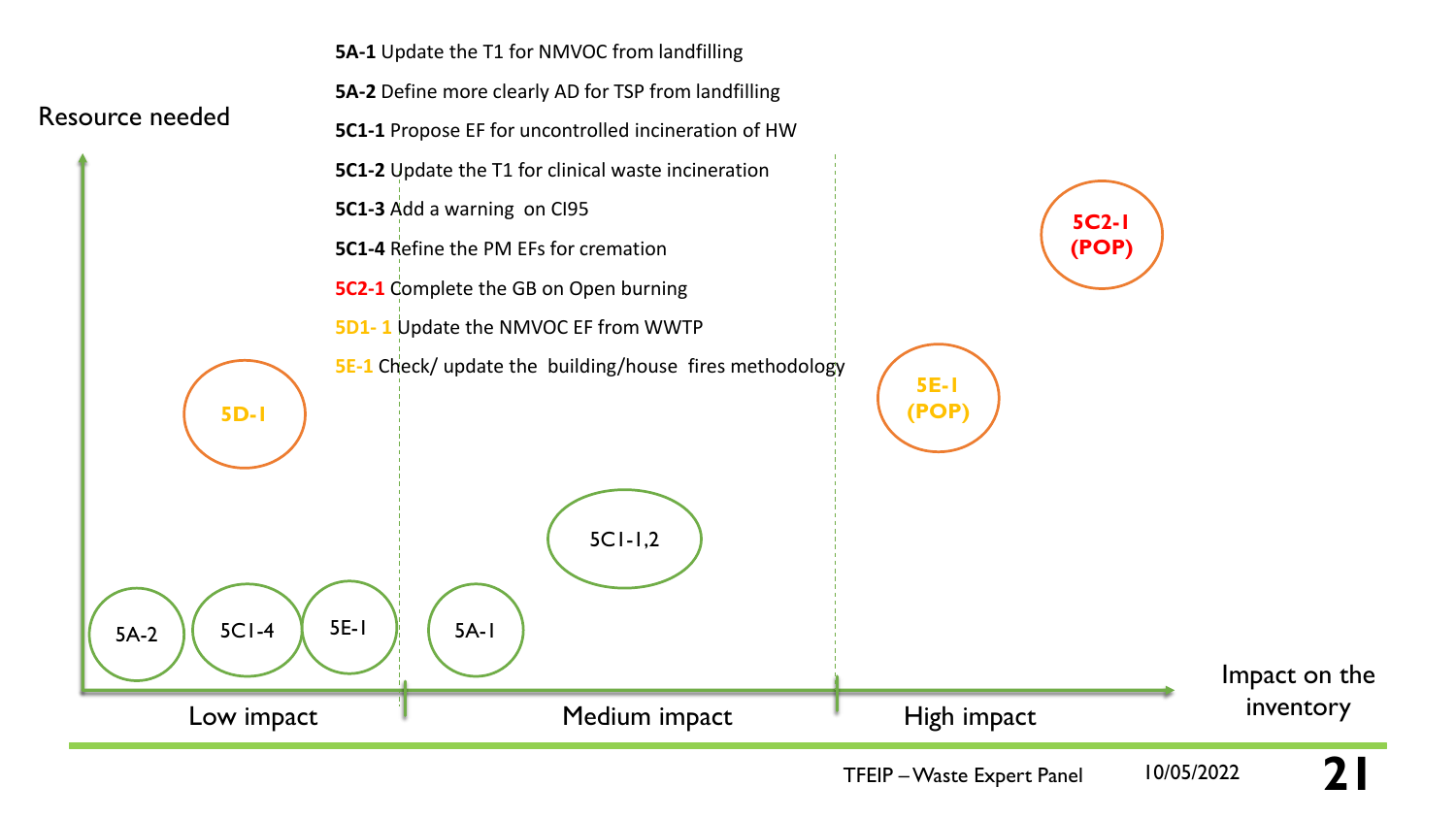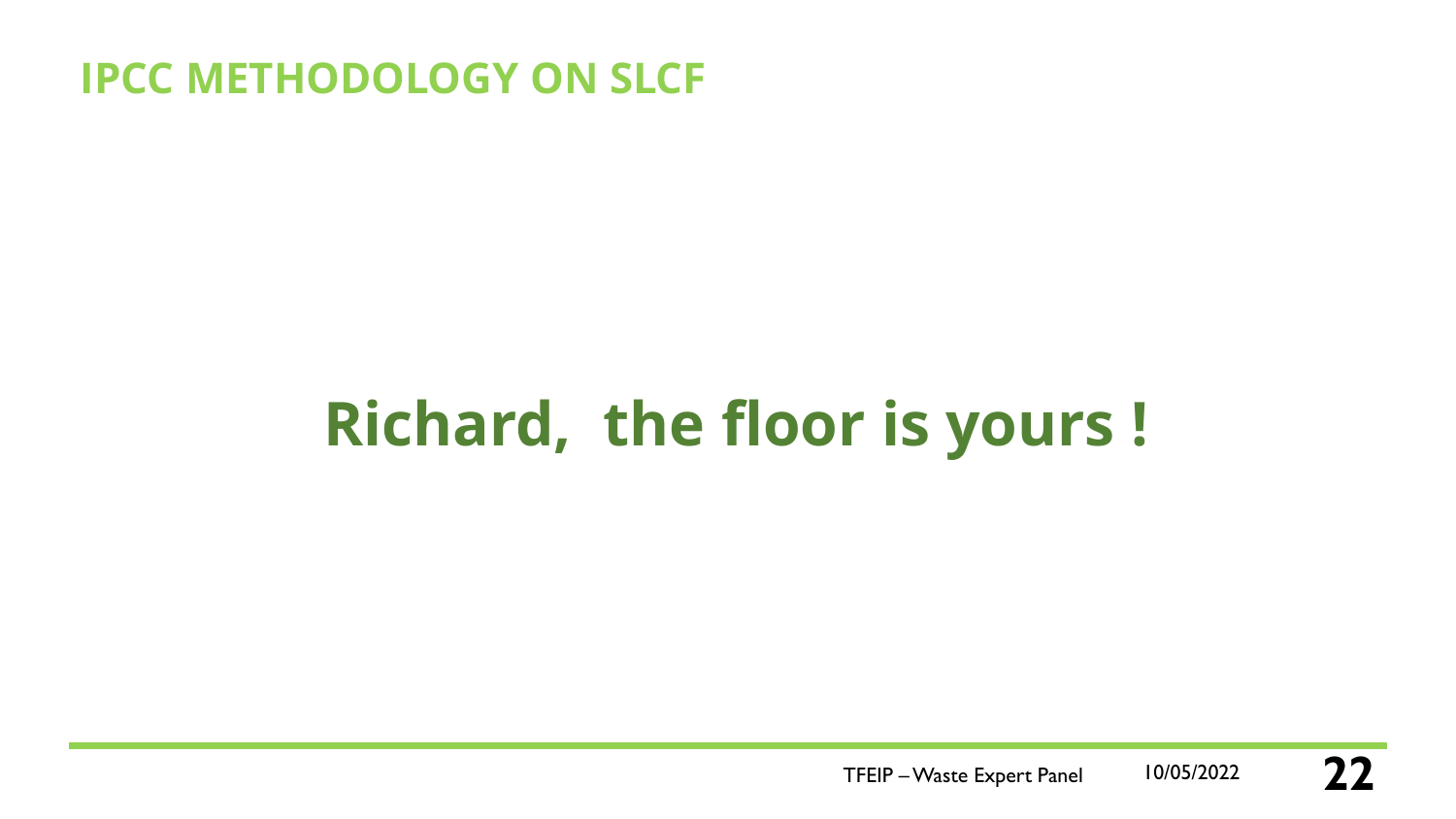### **IPCC METHODOLOGY ON SLCF**

# **Richard, the floor is yours !**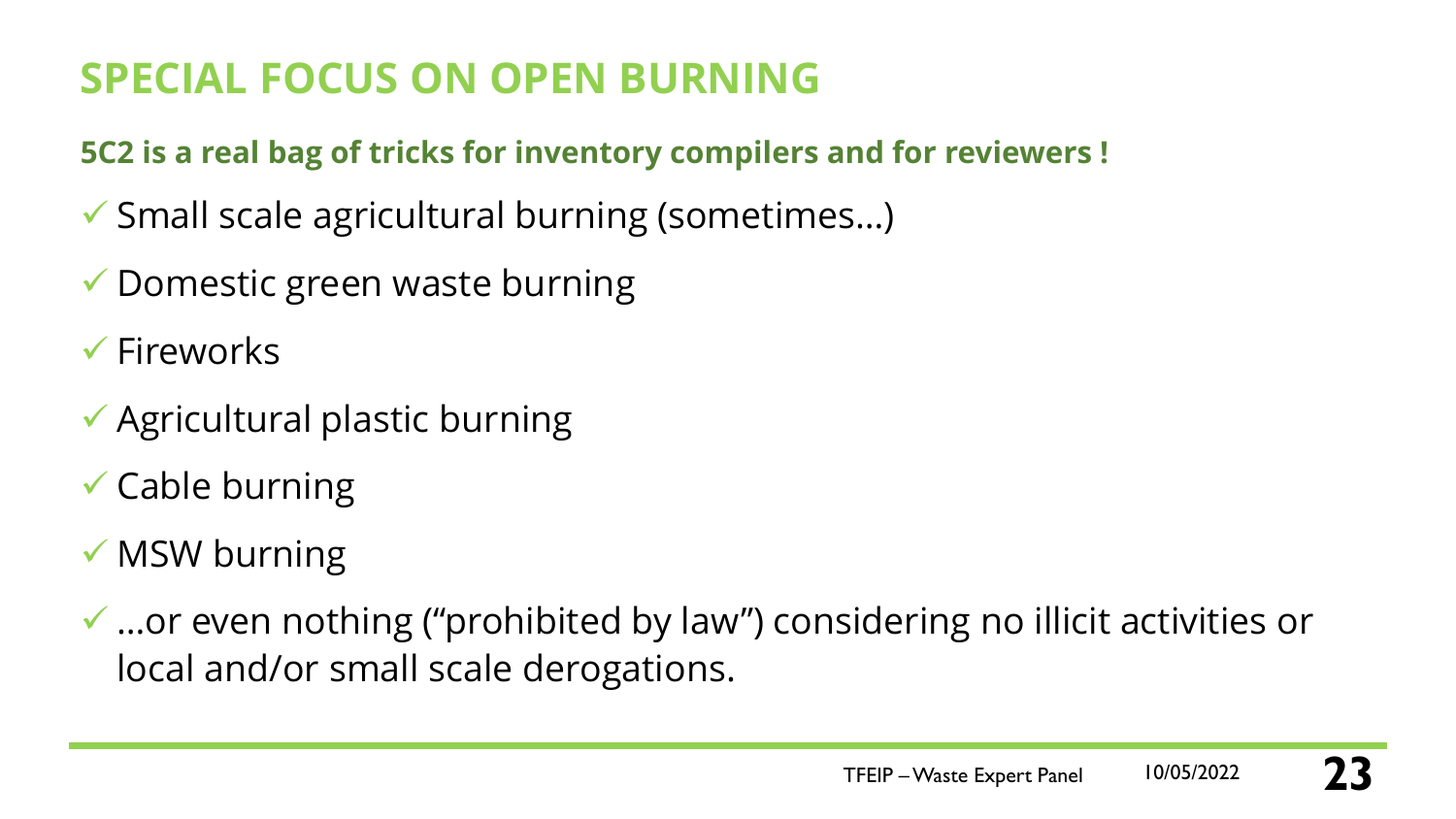# **SPECIAL FOCUS ON OPEN BURNING**

#### **5C2 is a real bag of tricks for inventory compilers and for reviewers !**

- ✓ Small scale agricultural burning (sometimes…)
- ✓ Domestic green waste burning
- ✓ Fireworks
- ✓ Agricultural plastic burning
- $\checkmark$  Cable burning
- ✓ MSW burning
- ✓ …or even nothing ("prohibited by law") considering no illicit activities or local and/or small scale derogations.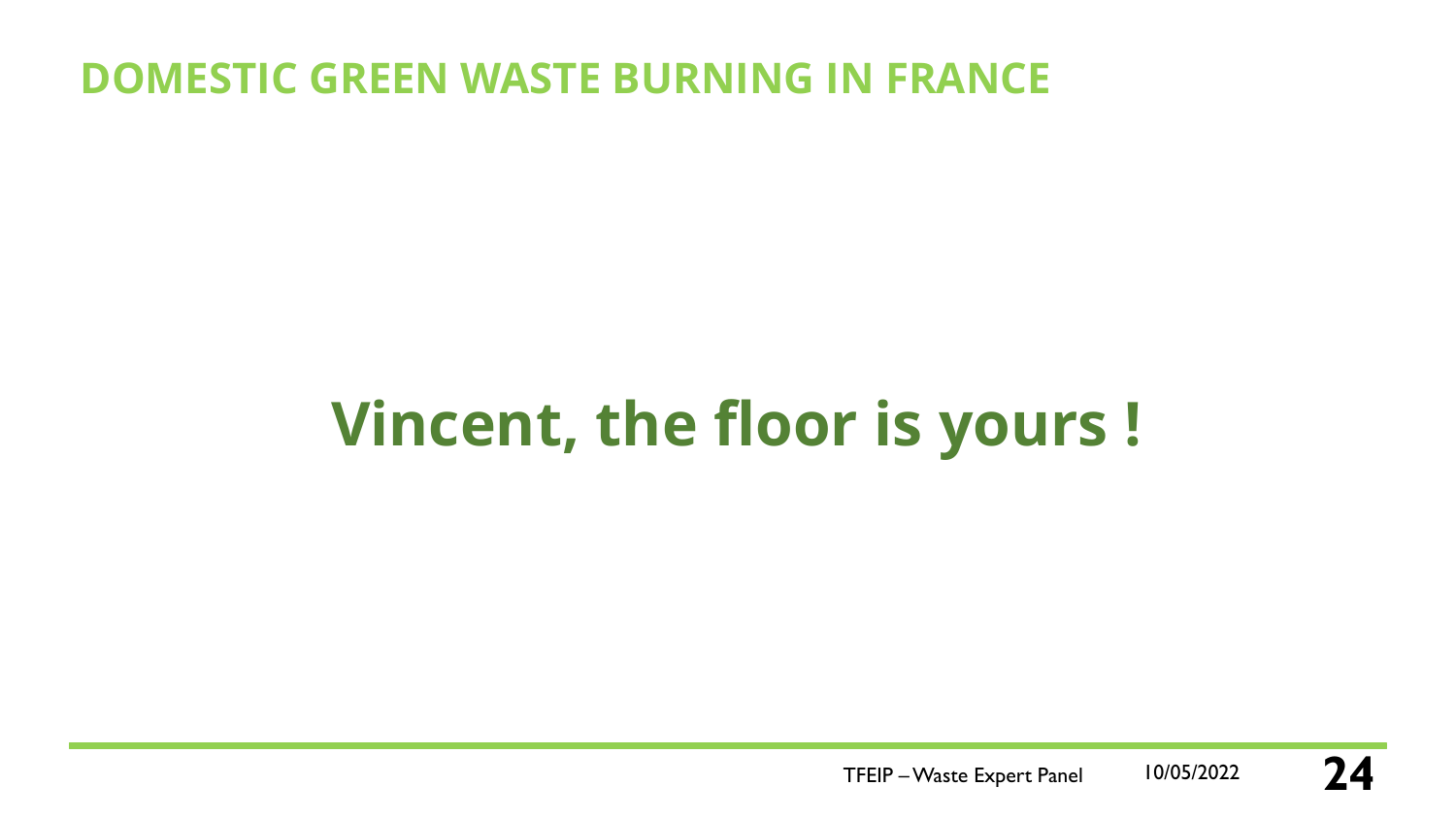### **DOMESTIC GREEN WASTE BURNING IN FRANCE**

# **Vincent, the floor is yours !**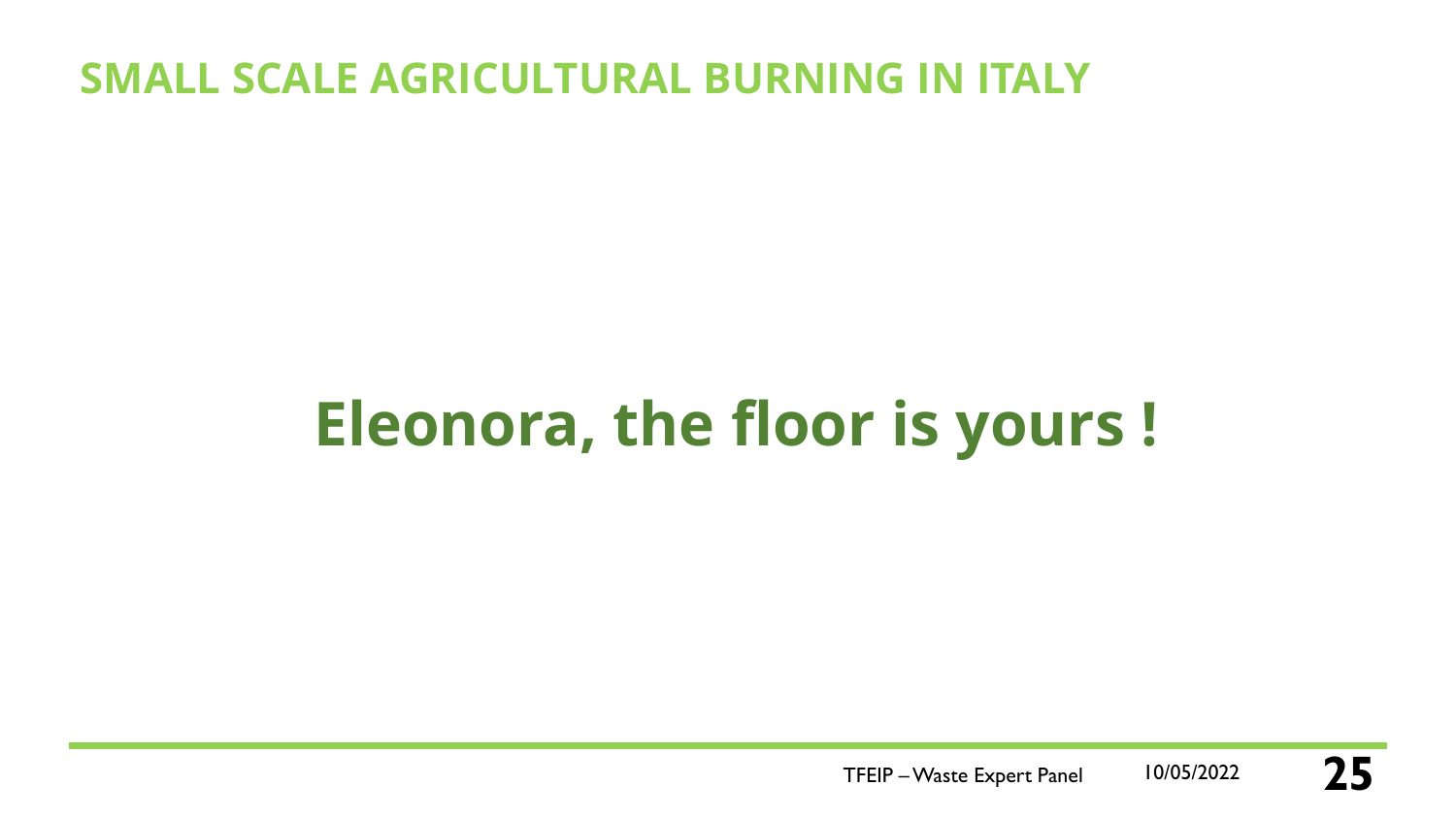### **SMALL SCALE AGRICULTURAL BURNING IN ITALY**

# **Eleonora, the floor is yours !**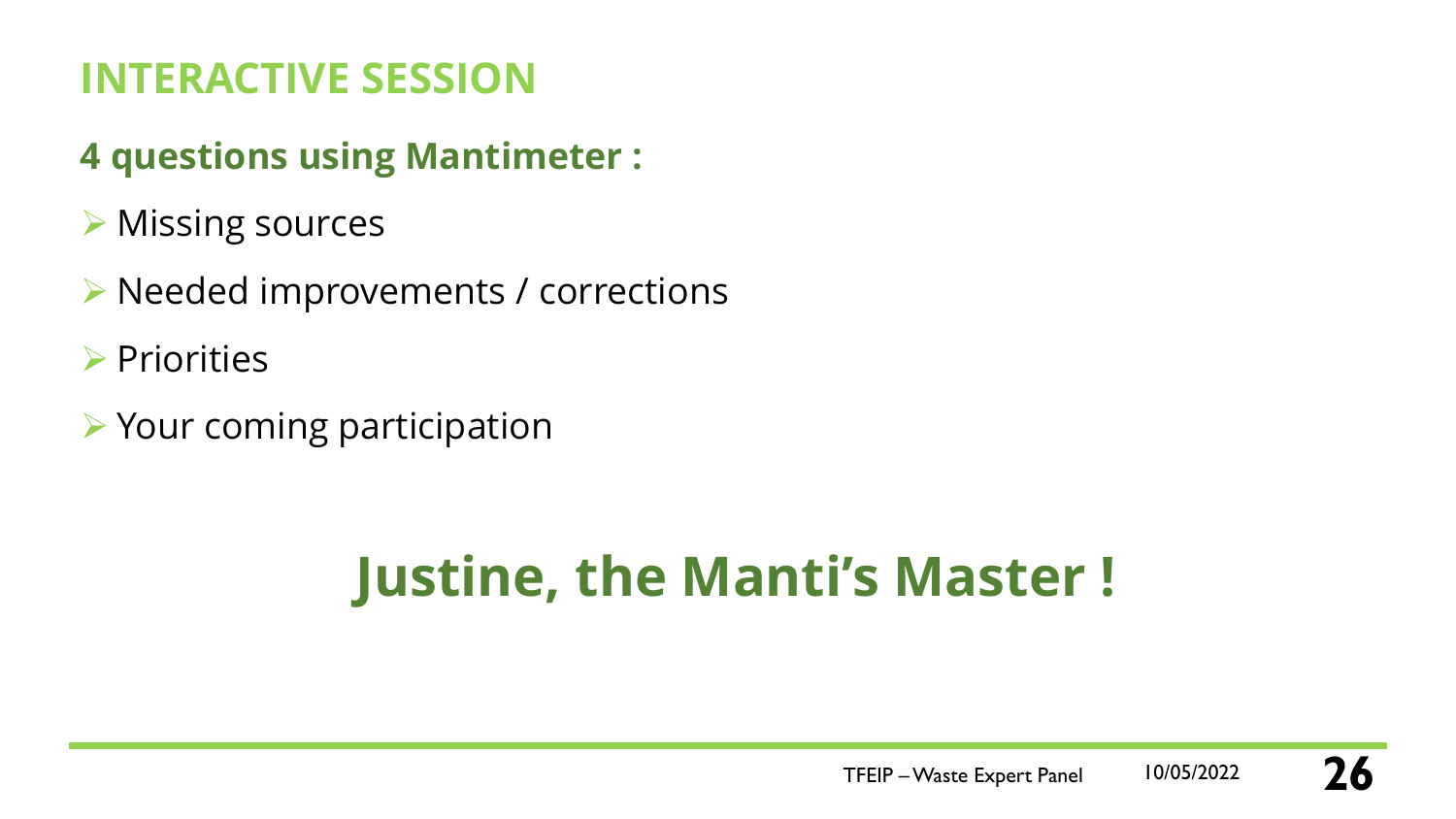## **INTERACTIVE SESSION**

### **4 questions using Mantimeter :**

- ➢ Missing sources
- ➢ Needed improvements / corrections
- ➢ Priorities
- ➢ Your coming participation

# **Justine, the Manti's Master !**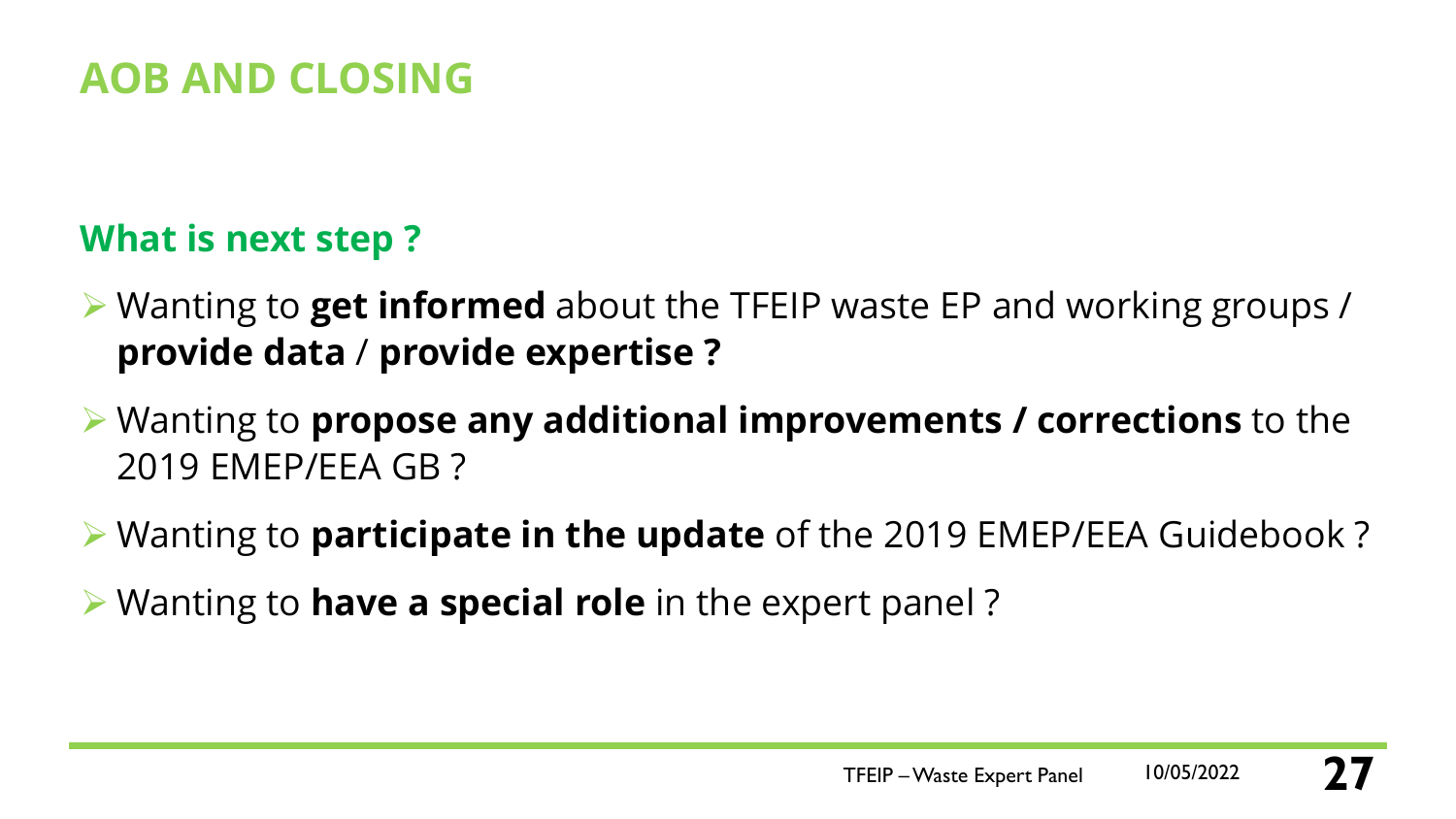### **AOB AND CLOSING**

### **What is next step ?**

- ➢ Wanting to **get informed** about the TFEIP waste EP and working groups / **provide data** / **provide expertise ?**
- ➢ Wanting to **propose any additional improvements / corrections** to the 2019 EMEP/EEA GB ?
- ➢ Wanting to **participate in the update** of the 2019 EMEP/EEA Guidebook ?
- ➢ Wanting to **have a special role** in the expert panel ?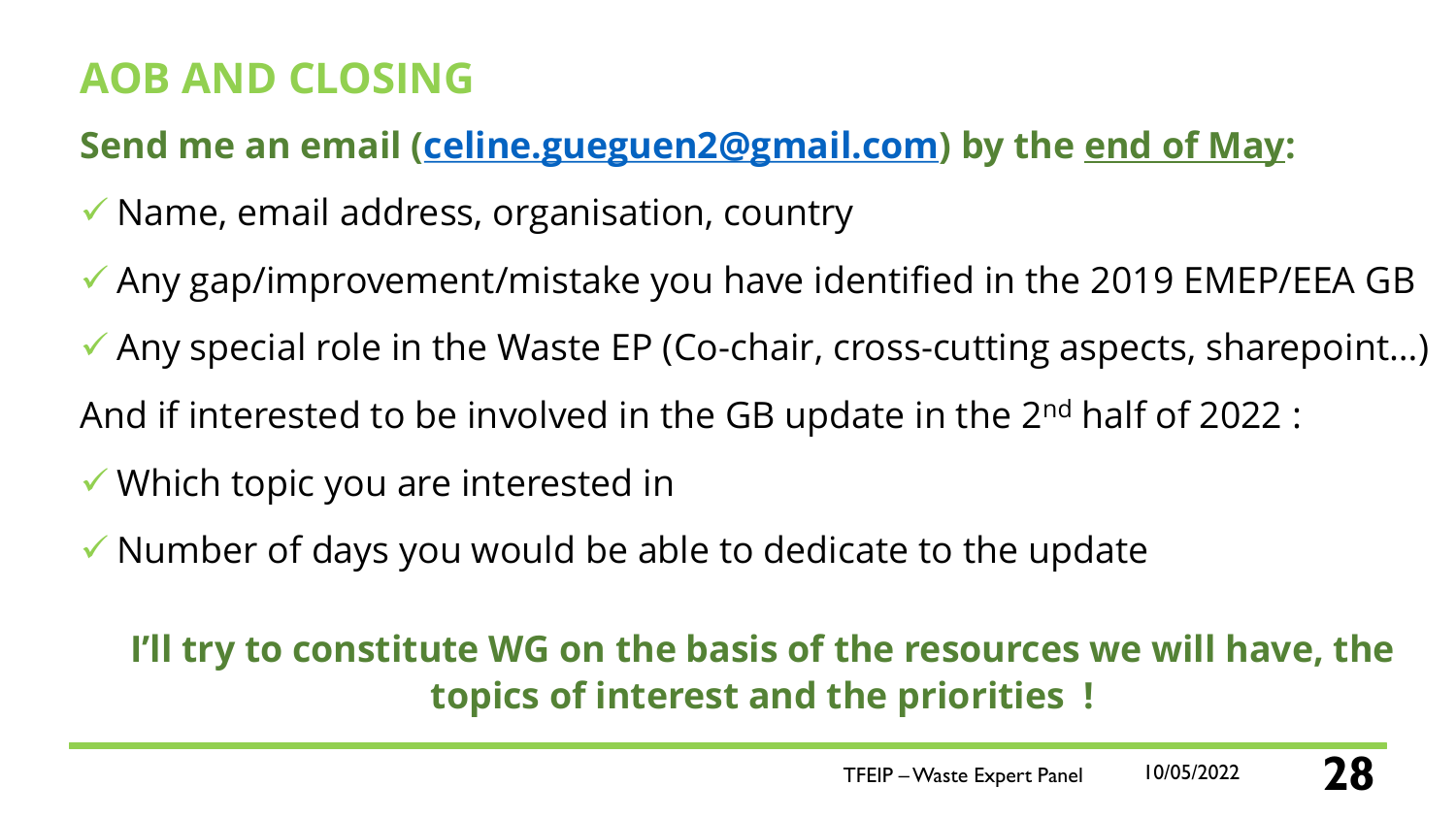### **AOB AND CLOSING**

**Send me an email ([celine.gueguen2@gmail.com](mailto:celine.gueguen2@gmail.com)) by the end of May:**

- ✓ Name, email address, organisation, country
- ✓ Any gap/improvement/mistake you have identified in the 2019 EMEP/EEA GB
- $\checkmark$  Any special role in the Waste EP (Co-chair, cross-cutting aspects, sharepoint...)
- And if interested to be involved in the GB update in the 2nd half of 2022 :
- ✓ Which topic you are interested in
- $\checkmark$  Number of days you would be able to dedicate to the update

### **I'll try to constitute WG on the basis of the resources we will have, the topics of interest and the priorities !**